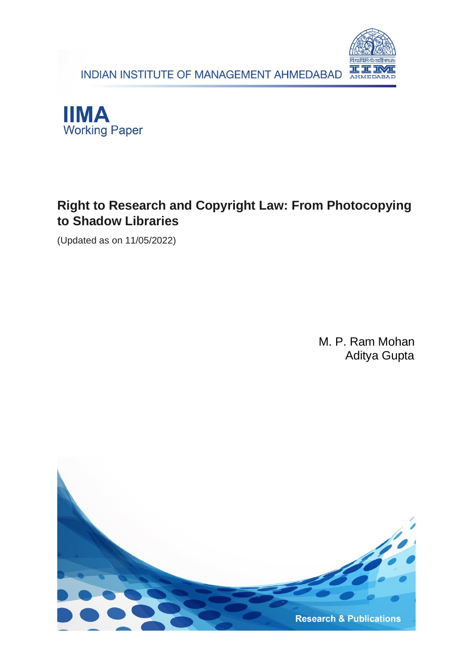INDIAN INSTITUTE OF MANAGEMENT AHMEDABAD





## **Right to Research and Copyright Law: From Photocopying to Shadow Libraries**

(Updated as on 11/05/2022)

M. P. Ram Mohan Aditya Gupta

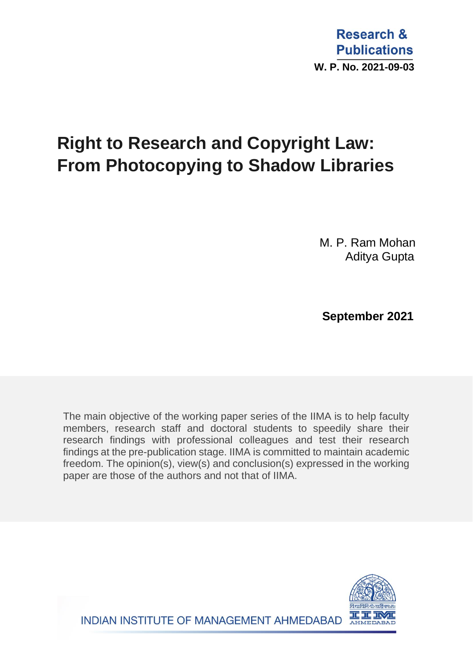# **Right to Research and Copyright Law: From Photocopying to Shadow Libraries**

M. P. Ram Mohan Aditya Gupta

 **September 2021**

The main objective of the working paper series of the IIMA is to help faculty members, research staff and doctoral students to speedily share their research findings with professional colleagues and test their research findings at the pre-publication stage. IIMA is committed to maintain academic freedom. The opinion(s), view(s) and conclusion(s) expressed in the working paper are those of the authors and not that of IIMA.

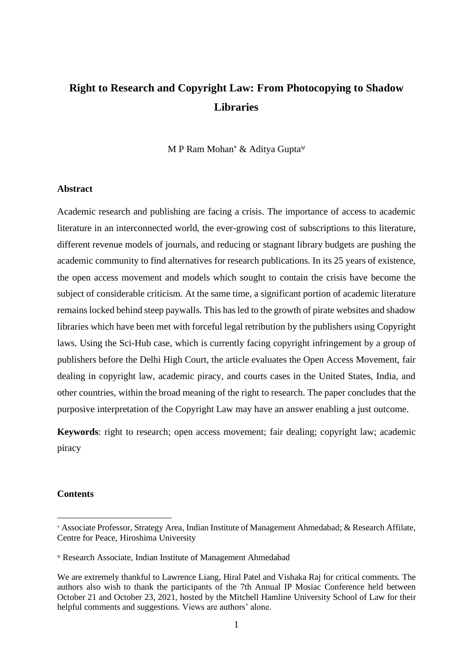## **Right to Research and Copyright Law: From Photocopying to Shadow Libraries**

M P Ram Mohan\* & Aditya Gupta $\Psi$ 

#### **Abstract**

Academic research and publishing are facing a crisis. The importance of access to academic literature in an interconnected world, the ever-growing cost of subscriptions to this literature, different revenue models of journals, and reducing or stagnant library budgets are pushing the academic community to find alternatives for research publications. In its 25 years of existence, the open access movement and models which sought to contain the crisis have become the subject of considerable criticism. At the same time, a significant portion of academic literature remains locked behind steep paywalls. This has led to the growth of pirate websites and shadow libraries which have been met with forceful legal retribution by the publishers using Copyright laws. Using the Sci-Hub case, which is currently facing copyright infringement by a group of publishers before the Delhi High Court, the article evaluates the Open Access Movement, fair dealing in copyright law, academic piracy, and courts cases in the United States, India, and other countries, within the broad meaning of the right to research. The paper concludes that the purposive interpretation of the Copyright Law may have an answer enabling a just outcome.

**Keywords**: right to research; open access movement; fair dealing; copyright law; academic piracy

#### **Contents**

Associate Professor, Strategy Area, Indian Institute of Management Ahmedabad; & Research Affilate, Centre for Peace, Hiroshima University

Research Associate, Indian Institute of Management Ahmedabad

We are extremely thankful to Lawrence Liang, Hiral Patel and Vishaka Raj for critical comments. The authors also wish to thank the participants of the 7th Annual IP Mosiac Conference held between October 21 and October 23, 2021, hosted by the Mitchell Hamline University School of Law for their helpful comments and suggestions. Views are authors' alone.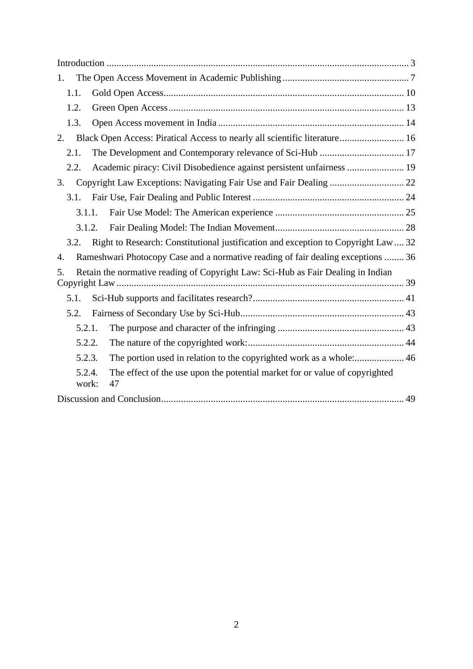| 1.              |                                                                                    |  |
|-----------------|------------------------------------------------------------------------------------|--|
| 1.1.            |                                                                                    |  |
| 1.2.            |                                                                                    |  |
| 1.3.            |                                                                                    |  |
| 2.              | Black Open Access: Piratical Access to nearly all scientific literature 16         |  |
| 2.1.            | The Development and Contemporary relevance of Sci-Hub  17                          |  |
| 2.2.            | Academic piracy: Civil Disobedience against persistent unfairness  19              |  |
| 3.              |                                                                                    |  |
| 3.1.            |                                                                                    |  |
| 3.1.1.          |                                                                                    |  |
| 3.1.2.          |                                                                                    |  |
| 3.2.            | Right to Research: Constitutional justification and exception to Copyright Law  32 |  |
| 4.              | Rameshwari Photocopy Case and a normative reading of fair dealing exceptions  36   |  |
| 5.              | Retain the normative reading of Copyright Law: Sci-Hub as Fair Dealing in Indian   |  |
| 5.1.            |                                                                                    |  |
| 5.2.            |                                                                                    |  |
| 5.2.1.          |                                                                                    |  |
| 5.2.2.          |                                                                                    |  |
| 5.2.3.          | The portion used in relation to the copyrighted work as a whole: 46                |  |
| 5.2.4.<br>work: | The effect of the use upon the potential market for or value of copyrighted<br>47  |  |
|                 |                                                                                    |  |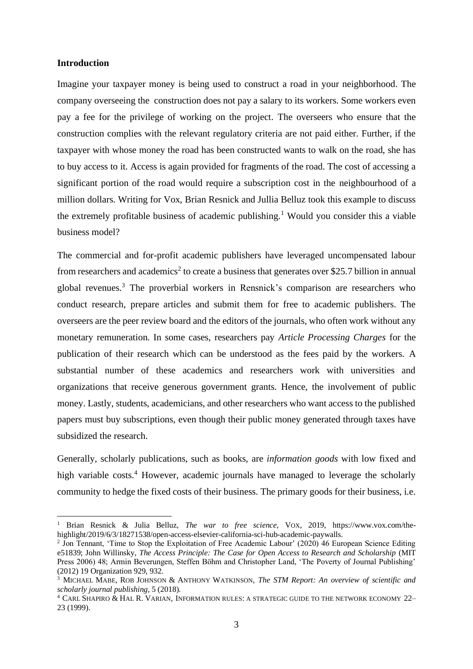#### <span id="page-4-0"></span>**Introduction**

Imagine your taxpayer money is being used to construct a road in your neighborhood. The company overseeing the construction does not pay a salary to its workers. Some workers even pay a fee for the privilege of working on the project. The overseers who ensure that the construction complies with the relevant regulatory criteria are not paid either. Further, if the taxpayer with whose money the road has been constructed wants to walk on the road, she has to buy access to it. Access is again provided for fragments of the road. The cost of accessing a significant portion of the road would require a subscription cost in the neighbourhood of a million dollars. Writing for Vox, Brian Resnick and Jullia Belluz took this example to discuss the extremely profitable business of academic publishing.<sup>1</sup> Would you consider this a viable business model?

The commercial and for-profit academic publishers have leveraged uncompensated labour from researchers and academics<sup>2</sup> to create a business that generates over \$25.7 billion in annual global revenues.<sup>3</sup> The proverbial workers in Rensnick's comparison are researchers who conduct research, prepare articles and submit them for free to academic publishers. The overseers are the peer review board and the editors of the journals, who often work without any monetary remuneration. In some cases, researchers pay *Article Processing Charges* for the publication of their research which can be understood as the fees paid by the workers. A substantial number of these academics and researchers work with universities and organizations that receive generous government grants. Hence, the involvement of public money. Lastly, students, academicians, and other researchers who want access to the published papers must buy subscriptions, even though their public money generated through taxes have subsidized the research.

Generally, scholarly publications, such as books, are *information goods* with low fixed and high variable costs. <sup>4</sup> However, academic journals have managed to leverage the scholarly community to hedge the fixed costs of their business. The primary goods for their business, i.e.

<sup>1</sup> Brian Resnick & Julia Belluz, *The war to free science*, VOX, 2019, https://www.vox.com/thehighlight/2019/6/3/18271538/open-access-elsevier-california-sci-hub-academic-paywalls.

<sup>&</sup>lt;sup>2</sup> Jon Tennant, 'Time to Stop the Exploitation of Free Academic Labour' (2020) 46 European Science Editing e51839; John Willinsky, *The Access Principle: The Case for Open Access to Research and Scholarship* (MIT Press 2006) 48; Armin Beverungen, Steffen Böhm and Christopher Land, 'The Poverty of Journal Publishing' (2012) 19 Organization 929, 932.

<sup>3</sup> MICHAEL MABE, ROB JOHNSON & ANTHONY WATKINSON, *The STM Report: An overview of scientific and scholarly journal publishing*, 5 (2018).

<sup>4</sup> CARL SHAPIRO & HAL R. VARIAN, INFORMATION RULES: A STRATEGIC GUIDE TO THE NETWORK ECONOMY 22– 23 (1999).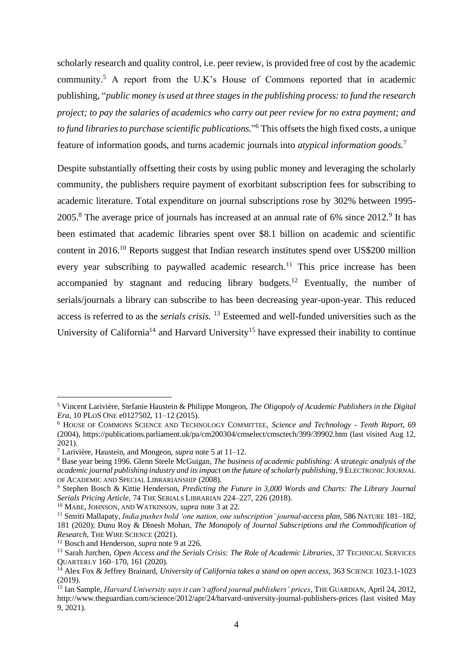scholarly research and quality control, i.e. peer review, is provided free of cost by the academic community.<sup>5</sup> A report from the U.K's House of Commons reported that in academic publishing, "*public money is used at three stages in the publishing process: to fund the research project; to pay the salaries of academics who carry out peer review for no extra payment; and to fund libraries to purchase scientific publications.*" <sup>6</sup> This offsets the high fixed costs, a unique feature of information goods, and turns academic journals into *atypical information goods.*<sup>7</sup>

Despite substantially offsetting their costs by using public money and leveraging the scholarly community, the publishers require payment of exorbitant subscription fees for subscribing to academic literature. Total expenditure on journal subscriptions rose by 302% between 1995-  $2005$ .<sup>8</sup> The average price of journals has increased at an annual rate of 6% since  $2012$ .<sup>9</sup> It has been estimated that academic libraries spent over \$8.1 billion on academic and scientific content in 2016.<sup>10</sup> Reports suggest that Indian research institutes spend over US\$200 million every year subscribing to paywalled academic research.<sup>11</sup> This price increase has been accompanied by stagnant and reducing library budgets.<sup>12</sup> Eventually, the number of serials/journals a library can subscribe to has been decreasing year-upon-year. This reduced access is referred to as the *serials crisis.* <sup>13</sup> Esteemed and well-funded universities such as the University of California<sup>14</sup> and Harvard University<sup>15</sup> have expressed their inability to continue

<sup>5</sup> Vincent Larivière, Stefanie Haustein & Philippe Mongeon, *The Oligopoly of Academic Publishers in the Digital Era*, 10 PLOS ONE e0127502, 11–12 (2015).

<sup>6</sup> HOUSE OF COMMONS SCIENCE AND TECHNOLOGY COMMITTEE, *Science and Technology - Tenth Report*, 69 (2004), https://publications.parliament.uk/pa/cm200304/cmselect/cmsctech/399/39902.htm (last visited Aug 12, 2021).

<sup>7</sup> Larivière, Haustein, and Mongeon, *supra* note 5 at 11–12.

<sup>8</sup> Base year being 1996. Glenn Steele McGuigan, *The business of academic publishing: A strategic analysis of the academic journal publishing industry and its impact on the future of scholarly publishing*, 9 ELECTRONIC JOURNAL OF ACADEMIC AND SPECIAL LIBRARIANSHIP (2008).

<sup>9</sup> Stephen Bosch & Kittie Henderson, *Predicting the Future in 3,000 Words and Charts: The Library Journal Serials Pricing Article*, 74 THE SERIALS LIBRARIAN 224–227, 226 (2018).

<sup>10</sup> MABE, JOHNSON, AND WATKINSON, *supra* note 3 at 22.

<sup>11</sup> Smriti Mallapaty, *India pushes bold 'one nation, one subscription' journal-access plan*, 586 NATURE 181–182, 181 (2020); Dunu Roy & Dinesh Mohan, *The Monopoly of Journal Subscriptions and the Commodification of Research*, THE WIRE SCIENCE (2021).

<sup>12</sup> Bosch and Henderson, *supra* note 9 at 226.

<sup>&</sup>lt;sup>13</sup> Sarah Jurchen, *Open Access and the Serials Crisis: The Role of Academic Libraries*, 37 TECHNICAL SERVICES QUARTERLY 160–170, 161 (2020).

<sup>14</sup> Alex Fox & Jeffrey Brainard, *University of California takes a stand on open access*, 363 SCIENCE 1023.1-1023  $(2019)$ 

<sup>15</sup> Ian Sample, *Harvard University says it can't afford journal publishers' prices*, THE GUARDIAN, April 24, 2012, http://www.theguardian.com/science/2012/apr/24/harvard-university-journal-publishers-prices (last visited May 9, 2021).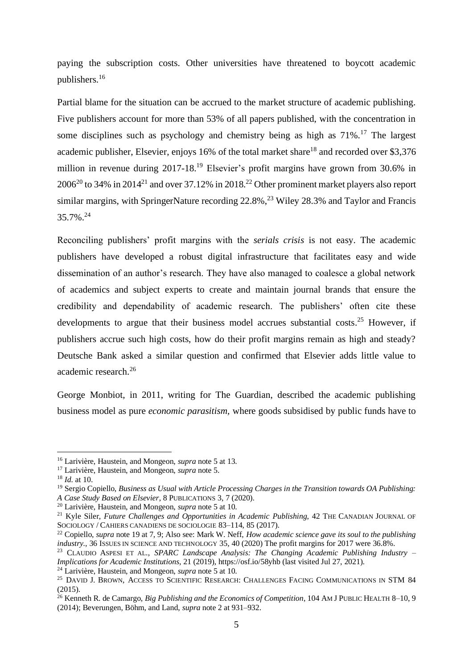paying the subscription costs. Other universities have threatened to boycott academic publishers.<sup>16</sup>

Partial blame for the situation can be accrued to the market structure of academic publishing. Five publishers account for more than 53% of all papers published, with the concentration in some disciplines such as psychology and chemistry being as high as  $71\%$ .<sup>17</sup> The largest academic publisher, Elsevier, enjoys 16% of the total market share<sup>18</sup> and recorded over \$3,376 million in revenue during 2017-18.<sup>19</sup> Elsevier's profit margins have grown from 30.6% in  $2006^{20}$  to 34% in 2014<sup>21</sup> and over 37.12% in 2018.<sup>22</sup> Other prominent market players also report similar margins, with SpringerNature recording  $22.8\%$ ,<sup>23</sup> Wiley 28.3% and Taylor and Francis 35.7%. 24

Reconciling publishers' profit margins with the *serials crisis* is not easy. The academic publishers have developed a robust digital infrastructure that facilitates easy and wide dissemination of an author's research. They have also managed to coalesce a global network of academics and subject experts to create and maintain journal brands that ensure the credibility and dependability of academic research. The publishers' often cite these developments to argue that their business model accrues substantial costs.<sup>25</sup> However, if publishers accrue such high costs, how do their profit margins remain as high and steady? Deutsche Bank asked a similar question and confirmed that Elsevier adds little value to academic research.<sup>26</sup>

George Monbiot, in 2011, writing for The Guardian, described the academic publishing business model as pure *economic parasitism,* where goods subsidised by public funds have to

<sup>16</sup> Larivière, Haustein, and Mongeon, *supra* note 5 at 13.

<sup>17</sup> Larivière, Haustein, and Mongeon, *supra* note 5.

<sup>18</sup> *Id.* at 10.

<sup>19</sup> Sergio Copiello, *Business as Usual with Article Processing Charges in the Transition towards OA Publishing: A Case Study Based on Elsevier*, 8 PUBLICATIONS 3, 7 (2020).

<sup>20</sup> Larivière, Haustein, and Mongeon, *supra* note 5 at 10.

<sup>&</sup>lt;sup>21</sup> Kyle Siler, *Future Challenges and Opportunities in Academic Publishing*, 42 THE CANADIAN JOURNAL OF SOCIOLOGY / CAHIERS CANADIENS DE SOCIOLOGIE 83–114, 85 (2017).

<sup>22</sup> Copiello, *supra* note 19 at 7, 9; Also see: Mark W. Neff, *How academic science gave its soul to the publishing industry.*, 36 ISSUES IN SCIENCE AND TECHNOLOGY 35, 40 (2020) The profit margins for 2017 were 36.8%.

<sup>23</sup> CLAUDIO ASPESI ET AL., *SPARC Landscape Analysis: The Changing Academic Publishing Industry – Implications for Academic Institutions*, 21 (2019), https://osf.io/58yhb (last visited Jul 27, 2021).

<sup>24</sup> Larivière, Haustein, and Mongeon, *supra* note 5 at 10.

<sup>&</sup>lt;sup>25</sup> DAVID J. BROWN, ACCESS TO SCIENTIFIC RESEARCH: CHALLENGES FACING COMMUNICATIONS IN STM 84 (2015).

<sup>26</sup> Kenneth R. de Camargo, *Big Publishing and the Economics of Competition*, 104 AM J PUBLIC HEALTH 8–10, 9 (2014); Beverungen, Böhm, and Land, *supra* note 2 at 931–932.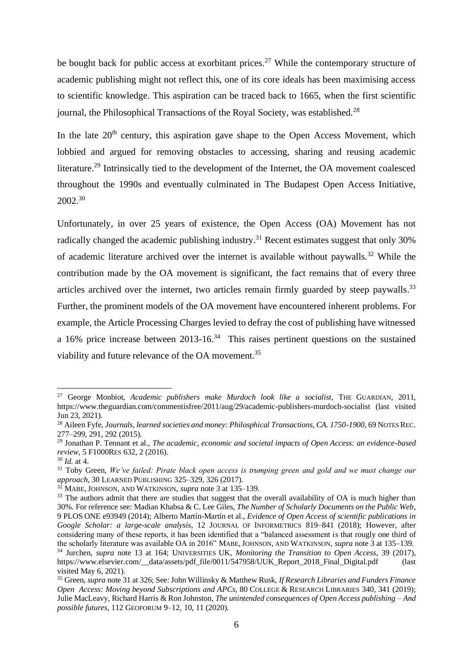be bought back for public access at exorbitant prices.<sup>27</sup> While the contemporary structure of academic publishing might not reflect this, one of its core ideals has been maximising access to scientific knowledge. This aspiration can be traced back to 1665, when the first scientific journal, the Philosophical Transactions of the Royal Society, was established.<sup>28</sup>

In the late  $20<sup>th</sup>$  century, this aspiration gave shape to the Open Access Movement, which lobbied and argued for removing obstacles to accessing, sharing and reusing academic literature.<sup>29</sup> Intrinsically tied to the development of the Internet, the OA movement coalesced throughout the 1990s and eventually culminated in The Budapest Open Access Initiative, 2002.<sup>30</sup>

Unfortunately, in over 25 years of existence, the Open Access (OA) Movement has not radically changed the academic publishing industry.<sup>31</sup> Recent estimates suggest that only  $30\%$ of academic literature archived over the internet is available without paywalls.<sup>32</sup> While the contribution made by the OA movement is significant, the fact remains that of every three articles archived over the internet, two articles remain firmly guarded by steep paywalls.<sup>33</sup> Further, the prominent models of the OA movement have encountered inherent problems. For example, the Article Processing Charges levied to defray the cost of publishing have witnessed a 16% price increase between  $2013$ -16.<sup>34</sup> This raises pertinent questions on the sustained viability and future relevance of the OA movement.<sup>35</sup>

<sup>&</sup>lt;sup>27</sup> George Monbiot, *Academic publishers make Murdoch look like a socialist*, THE GUARDIAN, 2011, https://www.theguardian.com/commentisfree/2011/aug/29/academic-publishers-murdoch-socialist (last visited Jun 23, 2021).

<sup>28</sup> Aileen Fyfe, *Journals, learned societies and money: Philosphical Transactions, CA. 1750-1900*, 69 NOTES REC. 277–299, 291, 292 (2015).

<sup>29</sup> Jonathan P. Tennant et al., *The academic, economic and societal impacts of Open Access: an evidence-based review*, 5 F1000RES 632, 2 (2016).

<sup>30</sup> *Id.* at 4.

<sup>31</sup> Toby Green, *We've failed: Pirate black open access is trumping green and gold and we must change our approach*, 30 LEARNED PUBLISHING 325–329, 326 (2017).

<sup>32</sup> MABE, JOHNSON, AND WATKINSON, *supra* note 3 at 135–139.

<sup>&</sup>lt;sup>33</sup> The authors admit that there are studies that suggest that the overall availability of OA is much higher than 30%. For reference see: Madian Khabsa & C. Lee Giles, *The Number of Scholarly Documents on the Public Web*, 9 PLOS ONE e93949 (2014); Alberto Martín-Martín et al., *Evidence of Open Access of scientific publications in Google Scholar: a large-scale analysis*, 12 JOURNAL OF INFORMETRICS 819–841 (2018); However, after considering many of these reports, it has been identified that a "balanced assessment is that rougly one third of the scholarly literature was available OA in 2016" MABE,JOHNSON, AND WATKINSON, *supra* note 3 at 135–139. <sup>34</sup> Jurchen, *supra* note 13 at 164; UNIVERSITIES UK, *Monitoring the Transition to Open Access*, 39 (2017),

https://www.elsevier.com/\_\_data/assets/pdf\_file/0011/547958/UUK\_Report\_2018\_Final\_Digital.pdf visited May 6, 2021).

<sup>35</sup> Green, *supra* note 31 at 326; See: John Willinsky & Matthew Rusk, *If Research Libraries and Funders Finance Open Access: Moving beyond Subscriptions and APCs*, 80 COLLEGE & RESEARCH LIBRARIES 340, 341 (2019); Julie MacLeavy, Richard Harris & Ron Johnston, *The unintended consequences of Open Access publishing – And possible futures*, 112 GEOFORUM 9–12, 10, 11 (2020).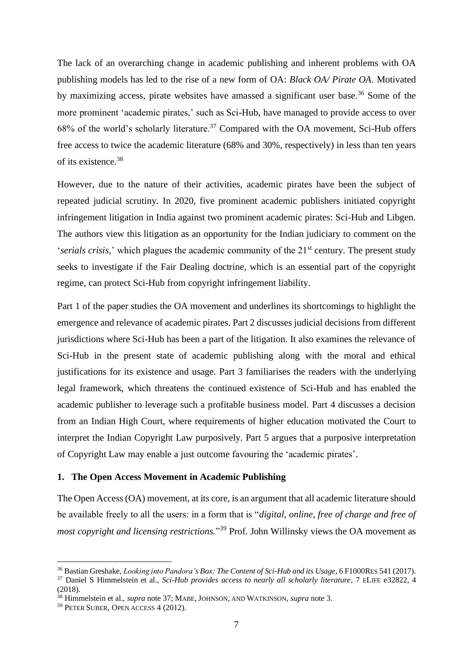The lack of an overarching change in academic publishing and inherent problems with OA publishing models has led to the rise of a new form of OA: *Black OA/ Pirate OA*. Motivated by maximizing access, pirate websites have amassed a significant user base.<sup>36</sup> Some of the more prominent 'academic pirates,' such as Sci-Hub, have managed to provide access to over  $68\%$  of the world's scholarly literature.<sup>37</sup> Compared with the OA movement, Sci-Hub offers free access to twice the academic literature (68% and 30%, respectively) in less than ten years of its existence.<sup>38</sup>

However, due to the nature of their activities, academic pirates have been the subject of repeated judicial scrutiny. In 2020, five prominent academic publishers initiated copyright infringement litigation in India against two prominent academic pirates: Sci-Hub and Libgen. The authors view this litigation as an opportunity for the Indian judiciary to comment on the *'serials crisis,'* which plagues the academic community of the 21<sup>st</sup> century. The present study seeks to investigate if the Fair Dealing doctrine, which is an essential part of the copyright regime, can protect Sci-Hub from copyright infringement liability.

Part 1 of the paper studies the OA movement and underlines its shortcomings to highlight the emergence and relevance of academic pirates. Part 2 discusses judicial decisions from different jurisdictions where Sci-Hub has been a part of the litigation. It also examines the relevance of Sci-Hub in the present state of academic publishing along with the moral and ethical justifications for its existence and usage. Part 3 familiarises the readers with the underlying legal framework, which threatens the continued existence of Sci-Hub and has enabled the academic publisher to leverage such a profitable business model. Part 4 discusses a decision from an Indian High Court, where requirements of higher education motivated the Court to interpret the Indian Copyright Law purposively. Part 5 argues that a purposive interpretation of Copyright Law may enable a just outcome favouring the 'academic pirates'.

#### <span id="page-8-0"></span>**1. The Open Access Movement in Academic Publishing**

The Open Access (OA) movement, at its core, is an argument that all academic literature should be available freely to all the users: in a form that is "*digital, online, free of charge and free of most copyright and licensing restrictions.*" <sup>39</sup> Prof. John Willinsky views the OA movement as

<sup>36</sup> Bastian Greshake, *Looking into Pandora's Box: The Content of Sci-Hub and its Usage*, 6 F1000RES 541 (2017).

<sup>&</sup>lt;sup>37</sup> Daniel S Himmelstein et al., *Sci-Hub provides access to nearly all scholarly literature*, 7 ELIFE e32822, 4 (2018).

<sup>38</sup> Himmelstein et al., *supra* note 37; MABE, JOHNSON, AND WATKINSON, *supra* note 3.

<sup>39</sup> PETER SUBER, OPEN ACCESS 4 (2012).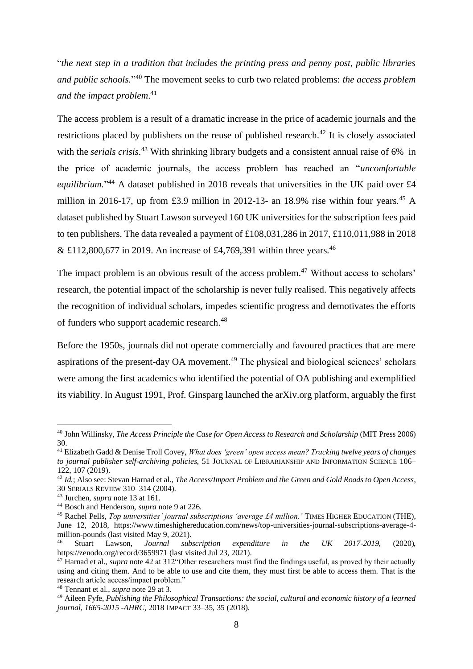"*the next step in a tradition that includes the printing press and penny post, public libraries and public schools.*" <sup>40</sup> The movement seeks to curb two related problems: *the access problem and the impact problem*. 41

The access problem is a result of a dramatic increase in the price of academic journals and the restrictions placed by publishers on the reuse of published research.<sup>42</sup> It is closely associated with the *serials crisis*. <sup>43</sup> With shrinking library budgets and a consistent annual raise of 6% in the price of academic journals, the access problem has reached an "*uncomfortable*  equilibrium."<sup>44</sup> A dataset published in 2018 reveals that universities in the UK paid over £4 million in 2016-17, up from £3.9 million in 2012-13- an 18.9% rise within four years.<sup>45</sup> A dataset published by Stuart Lawson surveyed 160 UK universities for the subscription fees paid to ten publishers. The data revealed a payment of £108,031,286 in 2017, £110,011,988 in 2018 & £112,800,677 in 2019. An increase of £4,769,391 within three years.<sup>46</sup>

The impact problem is an obvious result of the access problem.<sup>47</sup> Without access to scholars' research, the potential impact of the scholarship is never fully realised. This negatively affects the recognition of individual scholars, impedes scientific progress and demotivates the efforts of funders who support academic research.<sup>48</sup>

Before the 1950s, journals did not operate commercially and favoured practices that are mere aspirations of the present-day OA movement.<sup>49</sup> The physical and biological sciences' scholars were among the first academics who identified the potential of OA publishing and exemplified its viability. In August 1991, Prof. Ginsparg launched the arXiv.org platform, arguably the first

<sup>40</sup> John Willinsky, *The Access Principle the Case for Open Access to Research and Scholarship* (MIT Press 2006) 30.

<sup>41</sup> Elizabeth Gadd & Denise Troll Covey, *What does 'green' open access mean? Tracking twelve years of changes to journal publisher self-archiving policies*, 51 JOURNAL OF LIBRARIANSHIP AND INFORMATION SCIENCE 106– 122, 107 (2019).

<sup>42</sup> *Id.*; Also see: Stevan Harnad et al., *The Access/Impact Problem and the Green and Gold Roads to Open Access*, 30 SERIALS REVIEW 310–314 (2004).

<sup>43</sup> Jurchen, *supra* note 13 at 161.

<sup>44</sup> Bosch and Henderson, *supra* note 9 at 226.

<sup>&</sup>lt;sup>45</sup> Rachel Pells, *Top universities' journal subscriptions 'average £4 million,'* TIMES HIGHER EDUCATION (THE), June 12, 2018, https://www.timeshighereducation.com/news/top-universities-journal-subscriptions-average-4 million-pounds (last visited May 9, 2021).

<sup>46</sup> Stuart Lawson, *Journal subscription expenditure in the UK 2017-2019*, (2020), https://zenodo.org/record/3659971 (last visited Jul 23, 2021).

<sup>&</sup>lt;sup>47</sup> Harnad et al., *supra* note 42 at 312 ° Other researchers must find the findings useful, as proved by their actually using and citing them. And to be able to use and cite them, they must first be able to access them. That is the research article access/impact problem."

<sup>48</sup> Tennant et al., *supra* note 29 at 3.

<sup>49</sup> Aileen Fyfe, *Publishing the Philosophical Transactions: the social, cultural and economic history of a learned journal, 1665-2015 -AHRC*, 2018 IMPACT 33–35, 35 (2018).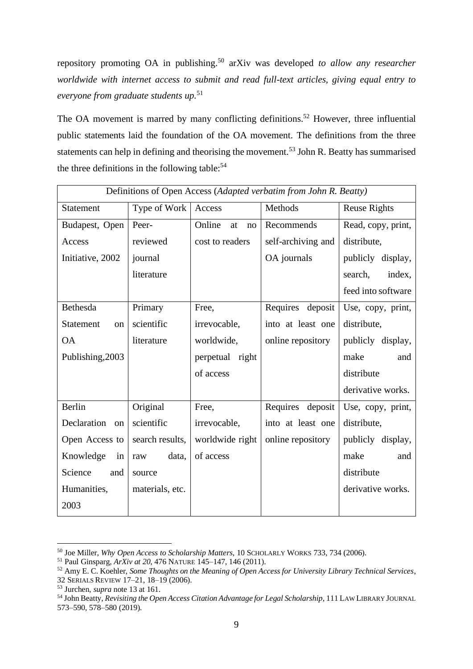repository promoting OA in publishing.<sup>50</sup> arXiv was developed *to allow any researcher worldwide with internet access to submit and read full-text articles, giving equal entry to everyone from graduate students up.*<sup>51</sup>

The OA movement is marred by many conflicting definitions.<sup>52</sup> However, three influential public statements laid the foundation of the OA movement. The definitions from the three statements can help in defining and theorising the movement.<sup>53</sup> John R. Beatty has summarised the three definitions in the following table:<sup>54</sup>

| Definitions of Open Access (Adapted verbatim from John R. Beatty) |                 |                    |                    |                     |  |
|-------------------------------------------------------------------|-----------------|--------------------|--------------------|---------------------|--|
| <b>Statement</b>                                                  | Type of Work    | Access             | Methods            | <b>Reuse Rights</b> |  |
| Budapest, Open                                                    | Peer-           | Online<br>at<br>no | Recommends         | Read, copy, print,  |  |
| Access                                                            | reviewed        | cost to readers    | self-archiving and | distribute,         |  |
| Initiative, 2002                                                  | journal         |                    | OA journals        | publicly display,   |  |
|                                                                   | literature      |                    |                    | index,<br>search,   |  |
|                                                                   |                 |                    |                    | feed into software  |  |
| Bethesda                                                          | Primary         | Free,              | Requires deposit   | Use, copy, print,   |  |
| <b>Statement</b><br><sub>on</sub>                                 | scientific      | irrevocable,       | into at least one  | distribute,         |  |
| <b>OA</b>                                                         | literature      | worldwide,         | online repository  | publicly display,   |  |
| Publishing, 2003                                                  |                 | perpetual right    |                    | make<br>and         |  |
|                                                                   |                 | of access          |                    | distribute          |  |
|                                                                   |                 |                    |                    | derivative works.   |  |
| Berlin                                                            | Original        | Free,              | Requires deposit   | Use, copy, print,   |  |
| Declaration<br>on l                                               | scientific      | irrevocable,       | into at least one  | distribute,         |  |
| Open Access to                                                    | search results, | worldwide right    | online repository  | publicly display,   |  |
| Knowledge<br>in <sub>1</sub>                                      | data,<br>raw    | of access          |                    | make<br>and         |  |
| Science<br>and                                                    | source          |                    |                    | distribute          |  |
| Humanities,                                                       | materials, etc. |                    |                    | derivative works.   |  |
| 2003                                                              |                 |                    |                    |                     |  |

<sup>50</sup> Joe Miller, *Why Open Access to Scholarship Matters*, 10 SCHOLARLY WORKS 733, 734 (2006).

<sup>51</sup> Paul Ginsparg, *ArXiv at 20*, 476 NATURE 145–147, 146 (2011).

<sup>52</sup> Amy E. C. Koehler, *Some Thoughts on the Meaning of Open Access for University Library Technical Services*, 32 SERIALS REVIEW 17–21, 18–19 (2006).

<sup>53</sup> Jurchen, *supra* note 13 at 161.

<sup>54</sup> John Beatty, *Revisiting the Open Access Citation Advantage for Legal Scholarship*, 111 LAW LIBRARY JOURNAL 573–590, 578–580 (2019).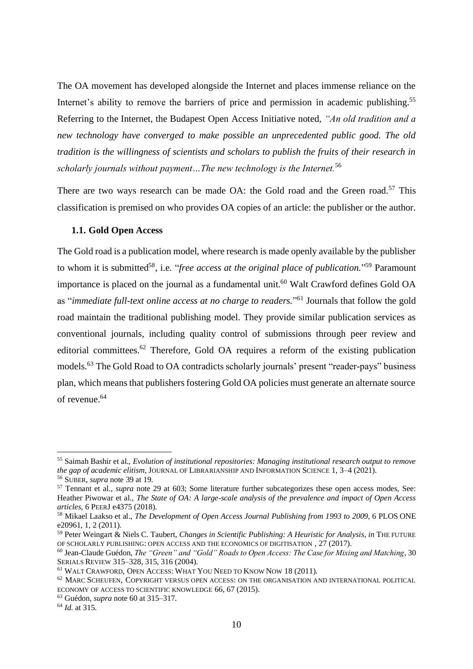The OA movement has developed alongside the Internet and places immense reliance on the Internet's ability to remove the barriers of price and permission in academic publishing.<sup>55</sup> Referring to the Internet, the Budapest Open Access Initiative noted, *"An old tradition and a new technology have converged to make possible an unprecedented public good. The old tradition is the willingness of scientists and scholars to publish the fruits of their research in scholarly journals without payment…The new technology is the Internet.*<sup>56</sup>

There are two ways research can be made OA: the Gold road and the Green road.<sup>57</sup> This classification is premised on who provides OA copies of an article: the publisher or the author.

#### <span id="page-11-0"></span>**1.1. Gold Open Access**

The Gold road is a publication model, where research is made openly available by the publisher to whom it is submitted<sup>58</sup>, i.e. "*free access at the original place of publication*."<sup>59</sup> Paramount importance is placed on the journal as a fundamental unit. <sup>60</sup> Walt Crawford defines Gold OA as "*immediate full-text online access at no charge to readers.*" <sup>61</sup> Journals that follow the gold road maintain the traditional publishing model. They provide similar publication services as conventional journals, including quality control of submissions through peer review and editorial committees.<sup>62</sup> Therefore, Gold OA requires a reform of the existing publication models.<sup>63</sup> The Gold Road to OA contradicts scholarly journals' present "reader-pays" business plan, which means that publishers fostering Gold OA policies must generate an alternate source of revenue.<sup>64</sup>

<sup>55</sup> Saimah Bashir et al., *Evolution of institutional repositories: Managing institutional research output to remove the gap of academic elitism*, JOURNAL OF LIBRARIANSHIP AND INFORMATION SCIENCE 1, 3–4 (2021).

<sup>56</sup> SUBER, *supra* note 39 at 19.

<sup>&</sup>lt;sup>57</sup> Tennant et al., *supra* note 29 at 603; Some literature further subcategorizes these open access modes, See: Heather Piwowar et al., *The State of OA: A large-scale analysis of the prevalence and impact of Open Access articles*, 6 PEERJ e4375 (2018).

<sup>58</sup> Mikael Laakso et al., *The Development of Open Access Journal Publishing from 1993 to 2009*, 6 PLOS ONE e20961, 1, 2 (2011).

<sup>59</sup> Peter Weingart & Niels C. Taubert, *Changes in Scientific Publishing: A Heuristic for Analysis*, *in* THE FUTURE OF SCHOLARLY PUBLISHING: OPEN ACCESS AND THE ECONOMICS OF DIGITISATION , 27 (2017).

<sup>60</sup> Jean-Claude Guédon, *The "Green" and "Gold" Roads to Open Access: The Case for Mixing and Matching*, 30 SERIALS REVIEW 315–328, 315, 316 (2004).

<sup>61</sup> WALT CRAWFORD, OPEN ACCESS: WHAT YOU NEED TO KNOW NOW 18 (2011).

<sup>62</sup> MARC SCHEUFEN, COPYRIGHT VERSUS OPEN ACCESS: ON THE ORGANISATION AND INTERNATIONAL POLITICAL ECONOMY OF ACCESS TO SCIENTIFIC KNOWLEDGE 66, 67 (2015).

<sup>63</sup> Guédon, *supra* note 60 at 315–317.

<sup>64</sup> *Id.* at 315.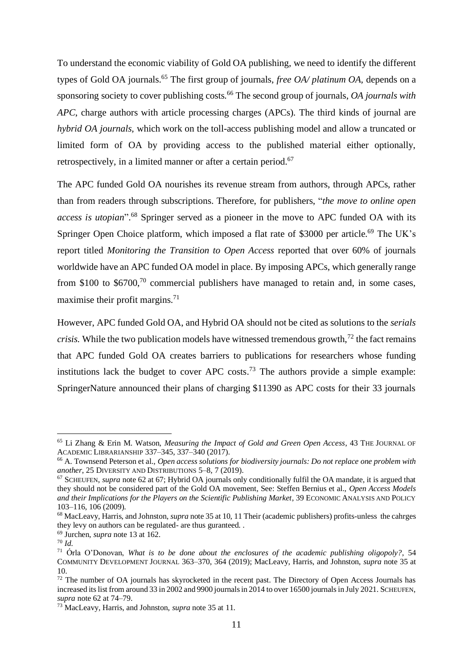To understand the economic viability of Gold OA publishing, we need to identify the different types of Gold OA journals.<sup>65</sup> The first group of journals, *free OA/ platinum OA*, depends on a sponsoring society to cover publishing costs*.* <sup>66</sup> The second group of journals, *OA journals with APC*, charge authors with article processing charges (APCs)*.* The third kinds of journal are *hybrid OA journals,* which work on the toll-access publishing model and allow a truncated or limited form of OA by providing access to the published material either optionally, retrospectively, in a limited manner or after a certain period.<sup>67</sup>

The APC funded Gold OA nourishes its revenue stream from authors, through APCs, rather than from readers through subscriptions. Therefore, for publishers, "*the move to online open access is utopian*". <sup>68</sup> Springer served as a pioneer in the move to APC funded OA with its Springer Open Choice platform, which imposed a flat rate of \$3000 per article.<sup>69</sup> The UK's report titled *Monitoring the Transition to Open Access* reported that over 60% of journals worldwide have an APC funded OA model in place. By imposing APCs, which generally range from \$100 to  $$6700$ ,<sup>70</sup> commercial publishers have managed to retain and, in some cases, maximise their profit margins.<sup>71</sup>

However, APC funded Gold OA, and Hybrid OA should not be cited as solutions to the *serials crisis.* While the two publication models have witnessed tremendous growth.<sup>72</sup> the fact remains that APC funded Gold OA creates barriers to publications for researchers whose funding institutions lack the budget to cover APC costs.<sup>73</sup> The authors provide a simple example: SpringerNature announced their plans of charging \$11390 as APC costs for their 33 journals

<sup>65</sup> Li Zhang & Erin M. Watson, *Measuring the Impact of Gold and Green Open Access*, 43 THE JOURNAL OF ACADEMIC LIBRARIANSHIP 337–345, 337–340 (2017).

<sup>66</sup> A. Townsend Peterson et al., *Open access solutions for biodiversity journals: Do not replace one problem with another*, 25 DIVERSITY AND DISTRIBUTIONS 5–8, 7 (2019).

<sup>67</sup> SCHEUFEN, *supra* note 62 at 67; Hybrid OA journals only conditionally fulfil the OA mandate, it is argued that they should not be considered part of the Gold OA movement, See: Steffen Bernius et al., *Open Access Models and their Implications for the Players on the Scientific Publishing Market*, 39 ECONOMIC ANALYSIS AND POLICY 103–116, 106 (2009).

<sup>68</sup> MacLeavy, Harris, and Johnston, *supra* note 35 at 10, 11 Their (academic publishers) profits-unless the cahrges they levy on authors can be regulated- are thus guranteed. .

<sup>69</sup> Jurchen, *supra* note 13 at 162.

<sup>70</sup> *Id.*

<sup>71</sup> Órla O'Donovan, *What is to be done about the enclosures of the academic publishing oligopoly?*, 54 COMMUNITY DEVELOPMENT JOURNAL 363–370, 364 (2019); MacLeavy, Harris, and Johnston, *supra* note 35 at 10.

<sup>&</sup>lt;sup>72</sup> The number of OA journals has skyrocketed in the recent past. The Directory of Open Access Journals has increased its list from around 33 in 2002 and 9900 journals in 2014 to over 16500 journals in July 2021. SCHEUFEN, *supra* note 62 at 74–79.

<sup>73</sup> MacLeavy, Harris, and Johnston, *supra* note 35 at 11.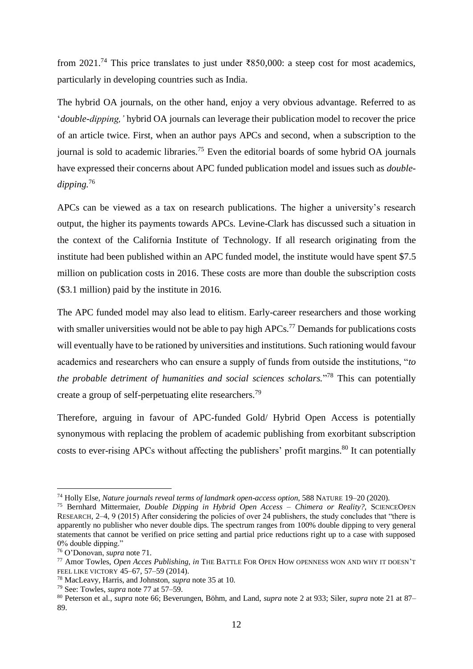from 2021.<sup>74</sup> This price translates to just under ₹850,000: a steep cost for most academics, particularly in developing countries such as India.

The hybrid OA journals, on the other hand, enjoy a very obvious advantage. Referred to as '*double-dipping,'* hybrid OA journals can leverage their publication model to recover the price of an article twice. First, when an author pays APCs and second, when a subscription to the journal is sold to academic libraries.<sup>75</sup> Even the editorial boards of some hybrid OA journals have expressed their concerns about APC funded publication model and issues such as *doubledipping.*<sup>76</sup>

APCs can be viewed as a tax on research publications. The higher a university's research output, the higher its payments towards APCs. Levine-Clark has discussed such a situation in the context of the California Institute of Technology. If all research originating from the institute had been published within an APC funded model, the institute would have spent \$7.5 million on publication costs in 2016. These costs are more than double the subscription costs (\$3.1 million) paid by the institute in 2016.

The APC funded model may also lead to elitism. Early-career researchers and those working with smaller universities would not be able to pay high APCs.<sup>77</sup> Demands for publications costs will eventually have to be rationed by universities and institutions. Such rationing would favour academics and researchers who can ensure a supply of funds from outside the institutions, "*to the probable detriment of humanities and social sciences scholars.*" <sup>78</sup> This can potentially create a group of self-perpetuating elite researchers.<sup>79</sup>

Therefore, arguing in favour of APC-funded Gold/ Hybrid Open Access is potentially synonymous with replacing the problem of academic publishing from exorbitant subscription costs to ever-rising APCs without affecting the publishers' profit margins.<sup>80</sup> It can potentially

<sup>74</sup> Holly Else, *Nature journals reveal terms of landmark open-access option*, 588 NATURE 19–20 (2020).

<sup>75</sup> Bernhard Mittermaier, *Double Dipping in Hybrid Open Access – Chimera or Reality?*, SCIENCEOPEN RESEARCH, 2–4, 9 (2015) After considering the policies of over 24 publishers, the study concludes that "there is apparently no publisher who never double dips. The spectrum ranges from 100% double dipping to very general statements that cannot be verified on price setting and partial price reductions right up to a case with supposed 0% double dipping."

<sup>76</sup> O'Donovan, *supra* note 71.

<sup>77</sup> Amor Towles, *Open Acces Publishing*, *in* THE BATTLE FOR OPEN HOW OPENNESS WON AND WHY IT DOESN'T FEEL LIKE VICTORY 45–67, 57–59 (2014).

<sup>78</sup> MacLeavy, Harris, and Johnston, *supra* note 35 at 10.

<sup>79</sup> See: Towles, *supra* note 77 at 57–59.

<sup>80</sup> Peterson et al., *supra* note 66; Beverungen, Böhm, and Land, *supra* note 2 at 933; Siler, *supra* note 21 at 87– 89.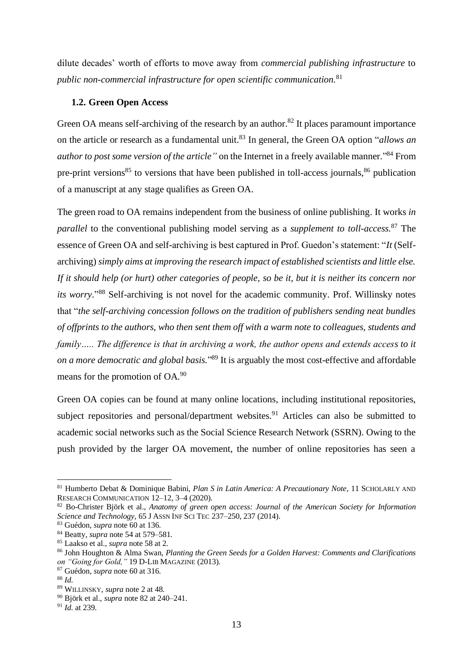dilute decades' worth of efforts to move away from *commercial publishing infrastructure* to *public non-commercial infrastructure for open scientific communication.*<sup>81</sup>

#### <span id="page-14-0"></span>**1.2. Green Open Access**

Green OA means self-archiving of the research by an author.<sup>82</sup> It places paramount importance on the article or research as a fundamental unit.<sup>83</sup> In general, the Green OA option "*allows an author to post some version of the article"* on the Internet in a freely available manner*.*" <sup>84</sup> From pre-print versions<sup>85</sup> to versions that have been published in toll-access journals,<sup>86</sup> publication of a manuscript at any stage qualifies as Green OA.

The green road to OA remains independent from the business of online publishing. It works *in parallel* to the conventional publishing model serving as a *supplement to toll-access.*<sup>87</sup> The essence of Green OA and self-archiving is best captured in Prof. Guedon's statement: "*It* (Selfarchiving) *simply aims at improving the research impact of established scientists and little else. If it should help (or hurt) other categories of people, so be it, but it is neither its concern nor its worry*." <sup>88</sup> Self-archiving is not novel for the academic community. Prof. Willinsky notes that "*the self-archiving concession follows on the tradition of publishers sending neat bundles of offprints to the authors, who then sent them off with a warm note to colleagues, students and family….. The difference is that in archiving a work, the author opens and extends access to it on a more democratic and global basis.*" <sup>89</sup> It is arguably the most cost-effective and affordable means for the promotion of OA.<sup>90</sup>

Green OA copies can be found at many online locations, including institutional repositories, subject repositories and personal/department websites.<sup>91</sup> Articles can also be submitted to academic social networks such as the Social Science Research Network (SSRN). Owing to the push provided by the larger OA movement, the number of online repositories has seen a

<sup>81</sup> Humberto Debat & Dominique Babini, *Plan S in Latin America: A Precautionary Note*, 11 SCHOLARLY AND RESEARCH COMMUNICATION 12–12, 3–4 (2020).

<sup>82</sup> Bo-Christer Björk et al., *Anatomy of green open access: Journal of the American Society for Information Science and Technology*, 65 J ASSN INF SCI TEC 237–250, 237 (2014).

<sup>83</sup> Guédon, *supra* note 60 at 136.

<sup>84</sup> Beatty, *supra* note 54 at 579–581.

<sup>85</sup> Laakso et al., *supra* note 58 at 2.

<sup>86</sup> John Houghton & Alma Swan, *Planting the Green Seeds for a Golden Harvest: Comments and Clarifications on "Going for Gold,"* 19 D-LIB MAGAZINE (2013).

<sup>87</sup> Guédon, *supra* note 60 at 316.

<sup>88</sup> *Id.*

<sup>89</sup> WILLINSKY, *supra* note 2 at 48.

<sup>90</sup> Björk et al., *supra* note 82 at 240–241.

<sup>91</sup> *Id.* at 239.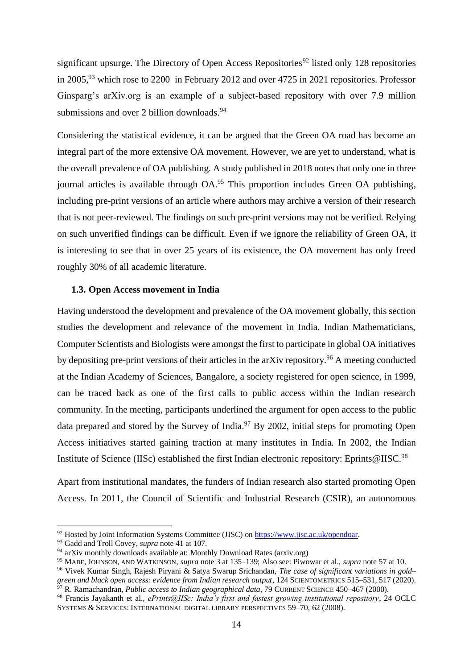significant upsurge. The Directory of Open Access Repositories<sup>92</sup> listed only 128 repositories in 2005,  $93$  which rose to 2200 in February 2012 and over 4725 in 2021 repositories. Professor Ginsparg's arXiv.org is an example of a subject-based repository with over 7.9 million submissions and over 2 billion downloads.<sup>94</sup>

Considering the statistical evidence, it can be argued that the Green OA road has become an integral part of the more extensive OA movement. However, we are yet to understand, what is the overall prevalence of OA publishing. A study published in 2018 notes that only one in three journal articles is available through OA.<sup>95</sup> This proportion includes Green OA publishing, including pre-print versions of an article where authors may archive a version of their research that is not peer-reviewed. The findings on such pre-print versions may not be verified. Relying on such unverified findings can be difficult. Even if we ignore the reliability of Green OA, it is interesting to see that in over 25 years of its existence, the OA movement has only freed roughly 30% of all academic literature.

#### <span id="page-15-0"></span>**1.3. Open Access movement in India**

Having understood the development and prevalence of the OA movement globally, this section studies the development and relevance of the movement in India. Indian Mathematicians, Computer Scientists and Biologists were amongst the first to participate in global OA initiatives by depositing pre-print versions of their articles in the arXiv repository.<sup>96</sup> A meeting conducted at the Indian Academy of Sciences, Bangalore, a society registered for open science, in 1999, can be traced back as one of the first calls to public access within the Indian research community. In the meeting, participants underlined the argument for open access to the public data prepared and stored by the Survey of India. $\frac{97}{9}$  By 2002, initial steps for promoting Open Access initiatives started gaining traction at many institutes in India. In 2002, the Indian Institute of Science (IISc) established the first Indian electronic repository: Eprints@IISC.<sup>98</sup>

Apart from institutional mandates, the funders of Indian research also started promoting Open Access. In 2011, the Council of Scientific and Industrial Research (CSIR), an autonomous

<sup>92</sup> Hosted by Joint Information Systems Committee (JISC) o[n https://www.jisc.ac.uk/opendoar.](https://www.jisc.ac.uk/opendoar)

<sup>93</sup> Gadd and Troll Covey, *supra* note 41 at 107.

<sup>&</sup>lt;sup>94</sup> arXiv monthly downloads available at: [Monthly Download Rates \(arxiv.org\)](https://arxiv.org/stats/monthly_downloads)

<sup>95</sup> MABE, JOHNSON, AND WATKINSON, *supra* note 3 at 135–139; Also see: Piwowar et al., *supra* note 57 at 10.

<sup>96</sup> Vivek Kumar Singh, Rajesh Piryani & Satya Swarup Srichandan, *The case of significant variations in gold– green and black open access: evidence from Indian research output*, 124 SCIENTOMETRICS 515–531, 517 (2020).

<sup>97</sup> R. Ramachandran, *Public access to Indian geographical data*, 79 CURRENT SCIENCE 450–467 (2000).

<sup>98</sup> Francis Jayakanth et al., *ePrints@IISc: India's first and fastest growing institutional repository*, 24 OCLC SYSTEMS & SERVICES: INTERNATIONAL DIGITAL LIBRARY PERSPECTIVES 59–70, 62 (2008).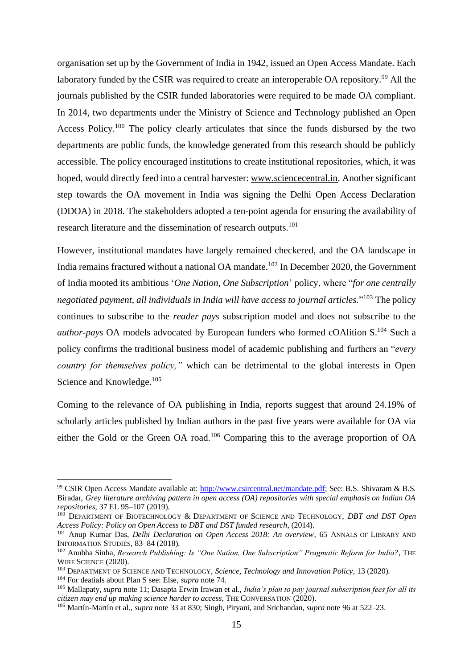organisation set up by the Government of India in 1942, issued an Open Access Mandate. Each laboratory funded by the CSIR was required to create an interoperable OA repository.<sup>99</sup> All the journals published by the CSIR funded laboratories were required to be made OA compliant. In 2014, two departments under the Ministry of Science and Technology published an Open Access Policy.<sup>100</sup> The policy clearly articulates that since the funds disbursed by the two departments are public funds, the knowledge generated from this research should be publicly accessible. The policy encouraged institutions to create institutional repositories, which, it was hoped, would directly feed into a central harvester: [www.sciencecentral.in.](http://www.sciencecentral.in/) Another significant step towards the OA movement in India was signing the Delhi Open Access Declaration (DDOA) in 2018. The stakeholders adopted a ten-point agenda for ensuring the availability of research literature and the dissemination of research outputs.<sup>101</sup>

However, institutional mandates have largely remained checkered, and the OA landscape in India remains fractured without a national OA mandate.<sup>102</sup> In December 2020, the Government of India mooted its ambitious '*One Nation, One Subscription*' policy, where "*for one centrally negotiated payment, all individuals in India will have access to journal articles.*" <sup>103</sup> The policy continues to subscribe to the *reader pays* subscription model and does not subscribe to the *author-pays* OA models advocated by European funders who formed cOAlition S.<sup>104</sup> Such a policy confirms the traditional business model of academic publishing and furthers an "*every country for themselves policy,"* which can be detrimental to the global interests in Open Science and Knowledge.<sup>105</sup>

Coming to the relevance of OA publishing in India, reports suggest that around 24.19% of scholarly articles published by Indian authors in the past five years were available for OA via either the Gold or the Green OA road.<sup>106</sup> Comparing this to the average proportion of OA

<sup>99</sup> CSIR Open Access Mandate available at[: http://www.csircentral.net/mandate.pdf;](http://www.csircentral.net/mandate.pdf) See: B.S. Shivaram & B.S. Biradar, *Grey literature archiving pattern in open access (OA) repositories with special emphasis on Indian OA repositories*, 37 EL 95–107 (2019).

<sup>&</sup>lt;sup>100</sup> DEPARTMENT OF BIOTECHNOLOGY & DEPARTMENT OF SCIENCE AND TECHNOLOGY, *DBT and DST Open Access Policy: Policy on Open Access to DBT and DST funded research*, (2014).

<sup>&</sup>lt;sup>101</sup> Anup Kumar Das, *Delhi Declaration on Open Access 2018: An overview*, 65 ANNALS OF LIBRARY AND INFORMATION STUDIES, 83–84 (2018).

<sup>102</sup> Anubha Sinha, *Research Publishing: Is "One Nation, One Subscription" Pragmatic Reform for India?*, THE WIRE SCIENCE (2020).

<sup>103</sup> DEPARTMENT OF SCIENCE AND TECHNOLOGY, *Science, Technology and Innovation Policy*, 13 (2020).

<sup>104</sup> For deatials about Plan S see: Else, *supra* note 74.

<sup>105</sup> Mallapaty, *supra* note 11; Dasapta Erwin Irawan et al., *India's plan to pay journal subscription fees for all its citizen may end up making science harder to access*, THE CONVERSATION (2020).

<sup>106</sup> Martín-Martín et al., *supra* note 33 at 830; Singh, Piryani, and Srichandan, *supra* note 96 at 522–23.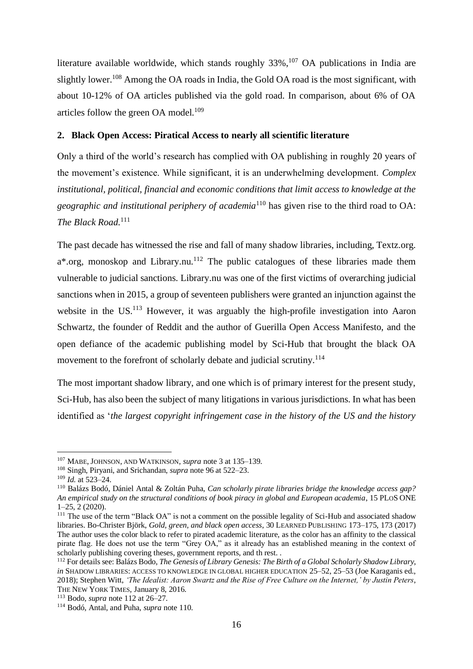literature available worldwide, which stands roughly  $33\%$ ,<sup>107</sup> OA publications in India are slightly lower.<sup>108</sup> Among the OA roads in India, the Gold OA road is the most significant, with about 10-12% of OA articles published via the gold road. In comparison, about 6% of OA articles follow the green OA model. $109$ 

#### <span id="page-17-0"></span>**2. Black Open Access: Piratical Access to nearly all scientific literature**

Only a third of the world's research has complied with OA publishing in roughly 20 years of the movement's existence. While significant, it is an underwhelming development. *Complex institutional, political, financial and economic conditions that limit access to knowledge at the geographic and institutional periphery of academia*<sup>110</sup> has given rise to the third road to OA: *The Black Road.*<sup>111</sup>

The past decade has witnessed the rise and fall of many shadow libraries, including, Textz.org.  $a^*$ .org, monoskop and Library.nu.<sup>112</sup> The public catalogues of these libraries made them vulnerable to judicial sanctions. Library.nu was one of the first victims of overarching judicial sanctions when in 2015, a group of seventeen publishers were granted an injunction against the website in the US.<sup>113</sup> However, it was arguably the high-profile investigation into Aaron Schwartz, the founder of Reddit and the author of Guerilla Open Access Manifesto, and the open defiance of the academic publishing model by Sci-Hub that brought the black OA movement to the forefront of scholarly debate and judicial scrutiny.<sup>114</sup>

The most important shadow library, and one which is of primary interest for the present study, Sci-Hub, has also been the subject of many litigations in various jurisdictions. In what has been identified as '*the largest copyright infringement case in the history of the US and the history* 

<sup>107</sup> MABE, JOHNSON, AND WATKINSON, *supra* note 3 at 135–139.

<sup>108</sup> Singh, Piryani, and Srichandan, *supra* note 96 at 522–23.

<sup>109</sup> *Id.* at 523–24.

<sup>110</sup> Balázs Bodó, Dániel Antal & Zoltán Puha, *Can scholarly pirate libraries bridge the knowledge access gap? An empirical study on the structural conditions of book piracy in global and European academia*, 15 PLOS ONE 1–25, 2 (2020).

<sup>&</sup>lt;sup>111</sup> The use of the term "Black OA" is not a comment on the possible legality of Sci-Hub and associated shadow libraries. Bo-Christer Björk, *Gold, green, and black open access*, 30 LEARNED PUBLISHING 173–175, 173 (2017) The author uses the color black to refer to pirated academic literature, as the color has an affinity to the classical pirate flag. He does not use the term "Grey OA," as it already has an established meaning in the context of scholarly publishing covering theses, government reports, and th rest. .

<sup>112</sup> For details see: Balázs Bodo, *The Genesis of Library Genesis: The Birth of a Global Scholarly Shadow Library*, *in* SHADOW LIBRARIES: ACCESS TO KNOWLEDGE IN GLOBAL HIGHER EDUCATION 25–52, 25–53 (Joe Karaganis ed., 2018); Stephen Witt, *'The Idealist: Aaron Swartz and the Rise of Free Culture on the Internet,' by Justin Peters*, THE NEW YORK TIMES, January 8, 2016.

<sup>113</sup> Bodo, *supra* note 112 at 26–27.

<sup>114</sup> Bodó, Antal, and Puha, *supra* note 110.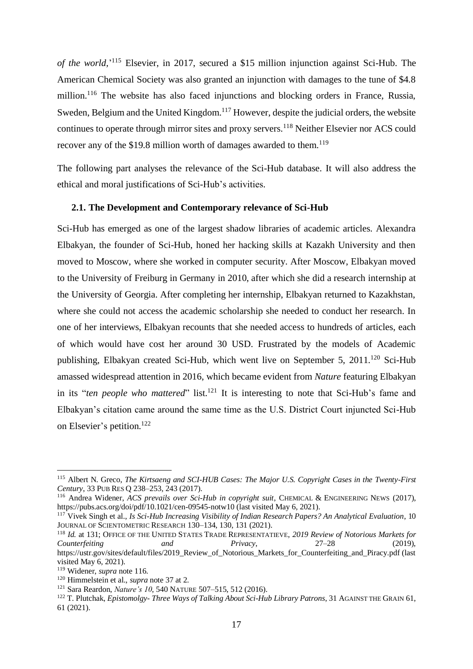*of the world,*' <sup>115</sup> Elsevier, in 2017, secured a \$15 million injunction against Sci-Hub. The American Chemical Society was also granted an injunction with damages to the tune of \$4.8 million.<sup>116</sup> The website has also faced injunctions and blocking orders in France, Russia, Sweden, Belgium and the United Kingdom.<sup>117</sup> However, despite the judicial orders, the website continues to operate through mirror sites and proxy servers.<sup>118</sup> Neither Elsevier nor ACS could recover any of the \$19.8 million worth of damages awarded to them.<sup>119</sup>

The following part analyses the relevance of the Sci-Hub database. It will also address the ethical and moral justifications of Sci-Hub's activities.

#### <span id="page-18-0"></span>**2.1. The Development and Contemporary relevance of Sci-Hub**

Sci-Hub has emerged as one of the largest shadow libraries of academic articles. Alexandra Elbakyan, the founder of Sci-Hub, honed her hacking skills at Kazakh University and then moved to Moscow, where she worked in computer security. After Moscow, Elbakyan moved to the University of Freiburg in Germany in 2010, after which she did a research internship at the University of Georgia. After completing her internship, Elbakyan returned to Kazakhstan, where she could not access the academic scholarship she needed to conduct her research. In one of her interviews, Elbakyan recounts that she needed access to hundreds of articles, each of which would have cost her around 30 USD. Frustrated by the models of Academic publishing, Elbakyan created Sci-Hub, which went live on September 5, 2011.<sup>120</sup> Sci-Hub amassed widespread attention in 2016, which became evident from *Nature* featuring Elbakyan in its "ten people who mattered" list.<sup>121</sup> It is interesting to note that Sci-Hub's fame and Elbakyan's citation came around the same time as the U.S. District Court injuncted Sci-Hub on Elsevier's petition.<sup>122</sup>

<sup>115</sup> Albert N. Greco, *The Kirtsaeng and SCI-HUB Cases: The Major U.S. Copyright Cases in the Twenty-First Century*, 33 PUB RES Q 238–253, 243 (2017).

<sup>116</sup> Andrea Widener, *ACS prevails over Sci-Hub in copyright suit*, CHEMICAL & ENGINEERING NEWS (2017), https://pubs.acs.org/doi/pdf/10.1021/cen-09545-notw10 (last visited May 6, 2021).

<sup>117</sup> Vivek Singh et al., *Is Sci-Hub Increasing Visibility of Indian Research Papers? An Analytical Evaluation*, 10 JOURNAL OF SCIENTOMETRIC RESEARCH 130–134, 130, 131 (2021).

<sup>118</sup> *Id.* at 131; OFFICE OF THE UNITED STATES TRADE REPRESENTATIEVE, *2019 Review of Notorious Markets for Counterfeiting and Privacy*, 27–28 (2019), https://ustr.gov/sites/default/files/2019\_Review\_of\_Notorious\_Markets\_for\_Counterfeiting\_and\_Piracy.pdf (last visited May 6, 2021).

<sup>119</sup> Widener, *supra* note 116.

<sup>120</sup> Himmelstein et al., *supra* note 37 at 2.

<sup>121</sup> Sara Reardon, *Nature's 10*, 540 NATURE 507–515, 512 (2016).

<sup>122</sup> T. Plutchak, *Epistomolgy- Three Ways of Talking About Sci-Hub Library Patrons*, 31 AGAINST THE GRAIN 61, 61 (2021).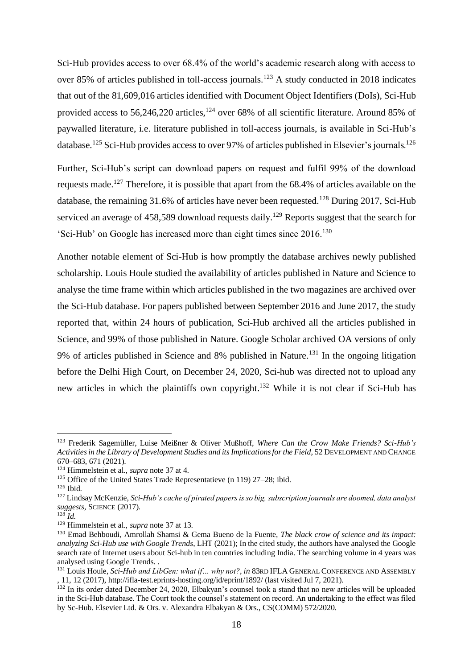Sci-Hub provides access to over 68.4% of the world's academic research along with access to over 85% of articles published in toll-access journals.<sup>123</sup> A study conducted in 2018 indicates that out of the 81,609,016 articles identified with Document Object Identifiers (DoIs), Sci-Hub provided access to 56,246,220 articles, $124$  over 68% of all scientific literature. Around 85% of paywalled literature, i.e. literature published in toll-access journals, is available in Sci-Hub's database.<sup>125</sup> Sci-Hub provides access to over 97% of articles published in Elsevier's journals.<sup>126</sup>

Further, Sci-Hub's script can download papers on request and fulfil 99% of the download requests made.<sup>127</sup> Therefore, it is possible that apart from the 68.4% of articles available on the database, the remaining  $31.6\%$  of articles have never been requested.<sup>128</sup> During 2017, Sci-Hub serviced an average of  $458,589$  download requests daily.<sup>129</sup> Reports suggest that the search for 'Sci-Hub' on Google has increased more than eight times since 2016.<sup>130</sup>

Another notable element of Sci-Hub is how promptly the database archives newly published scholarship. Louis Houle studied the availability of articles published in Nature and Science to analyse the time frame within which articles published in the two magazines are archived over the Sci-Hub database. For papers published between September 2016 and June 2017, the study reported that, within 24 hours of publication, Sci-Hub archived all the articles published in Science, and 99% of those published in Nature. Google Scholar archived OA versions of only 9% of articles published in Science and 8% published in Nature.<sup>131</sup> In the ongoing litigation before the Delhi High Court, on December 24, 2020, Sci-hub was directed not to upload any new articles in which the plaintiffs own copyright.<sup>132</sup> While it is not clear if Sci-Hub has

<sup>123</sup> Frederik Sagemüller, Luise Meißner & Oliver Mußhoff, *Where Can the Crow Make Friends? Sci-Hub's Activities in the Library of Development Studies and its Implications for the Field*, 52 DEVELOPMENT AND CHANGE 670–683, 671 (2021).

<sup>124</sup> Himmelstein et al., *supra* note 37 at 4.

<sup>125</sup> Office of the United States Trade Representatieve (n 119) 27–28; ibid.

<sup>126</sup> Ibid.

<sup>127</sup> Lindsay McKenzie, *Sci-Hub's cache of pirated papers is so big, subscription journals are doomed, data analyst suggests*, SCIENCE (2017).

<sup>128</sup> *Id.*

<sup>129</sup> Himmelstein et al., *supra* note 37 at 13.

<sup>130</sup> Emad Behboudi, Amrollah Shamsi & Gema Bueno de la Fuente, *The black crow of science and its impact: analyzing Sci-Hub use with Google Trends*, LHT (2021); In the cited study, the authors have analysed the Google search rate of Internet users about Sci-hub in ten countries including India. The searching volume in 4 years was analysed using Google Trends. .

<sup>131</sup> Louis Houle, *Sci-Hub and LibGen: what if… why not?*, *in* 83RD IFLA GENERAL CONFERENCE AND ASSEMBLY , 11, 12 (2017), http://ifla-test.eprints-hosting.org/id/eprint/1892/ (last visited Jul 7, 2021).

<sup>&</sup>lt;sup>132</sup> In its order dated December 24, 2020, Elbakyan's counsel took a stand that no new articles will be uploaded in the Sci-Hub database. The Court took the counsel's statement on record. An undertaking to the effect was filed by Sc-Hub. Elsevier Ltd. & Ors. v. Alexandra Elbakyan & Ors., CS(COMM) 572/2020.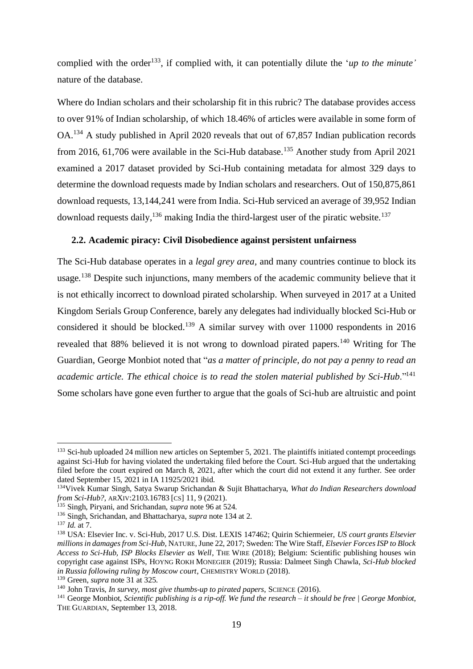complied with the order<sup>133</sup>, if complied with, it can potentially dilute the '*up to the minute'* nature of the database.

Where do Indian scholars and their scholarship fit in this rubric? The database provides access to over 91% of Indian scholarship, of which 18.46% of articles were available in some form of OA.<sup>134</sup> A study published in April 2020 reveals that out of 67,857 Indian publication records from 2016, 61,706 were available in the Sci-Hub database.<sup>135</sup> Another study from April 2021 examined a 2017 dataset provided by Sci-Hub containing metadata for almost 329 days to determine the download requests made by Indian scholars and researchers. Out of 150,875,861 download requests, 13,144,241 were from India. Sci-Hub serviced an average of 39,952 Indian download requests daily,  $136$  making India the third-largest user of the piratic website.<sup>137</sup>

#### <span id="page-20-0"></span>**2.2. Academic piracy: Civil Disobedience against persistent unfairness**

The Sci-Hub database operates in a *legal grey area,* and many countries continue to block its usage*.* <sup>138</sup> Despite such injunctions, many members of the academic community believe that it is not ethically incorrect to download pirated scholarship. When surveyed in 2017 at a United Kingdom Serials Group Conference, barely any delegates had individually blocked Sci-Hub or considered it should be blocked.<sup>139</sup> A similar survey with over  $11000$  respondents in 2016 revealed that 88% believed it is not wrong to download pirated papers.<sup>140</sup> Writing for The Guardian, George Monbiot noted that "*as a matter of principle, do not pay a penny to read an academic article. The ethical choice is to read the stolen material published by Sci-Hub*."<sup>141</sup> Some scholars have gone even further to argue that the goals of Sci-hub are altruistic and point

<sup>&</sup>lt;sup>133</sup> Sci-hub uploaded 24 million new articles on September 5, 2021. The plaintiffs initiated contempt proceedings against Sci-Hub for having violated the undertaking filed before the Court. Sci-Hub argued that the undertaking filed before the court expired on March 8, 2021, after which the court did not extend it any further. See order dated September 15, 2021 in IA 11925/2021 ibid.

<sup>134</sup>Vivek Kumar Singh, Satya Swarup Srichandan & Sujit Bhattacharya, *What do Indian Researchers download from Sci-Hub?*, ARXIV:2103.16783 [CS] 11, 9 (2021).

<sup>135</sup> Singh, Piryani, and Srichandan, *supra* note 96 at 524.

<sup>136</sup> Singh, Srichandan, and Bhattacharya, *supra* note 134 at 2.

<sup>137</sup> *Id.* at 7.

<sup>138</sup> USA: Elsevier Inc. v. Sci-Hub, 2017 U.S. Dist. LEXIS 147462; Quirin Schiermeier, *US court grants Elsevier millions in damages from Sci-Hub*, NATURE, June 22, 2017; Sweden: The Wire Staff, *Elsevier Forces ISP to Block Access to Sci-Hub, ISP Blocks Elsevier as Well*, THE WIRE (2018); Belgium: Scientific publishing houses win copyright case against ISPs, HOYNG ROKH MONEGIER (2019); Russia: Dalmeet Singh Chawla, *Sci-Hub blocked in Russia following ruling by Moscow court*, CHEMISTRY WORLD (2018).

<sup>139</sup> Green, *supra* note 31 at 325.

<sup>140</sup> John Travis, *In survey, most give thumbs-up to pirated papers*, SCIENCE (2016).

<sup>141</sup> George Monbiot, *Scientific publishing is a rip-off. We fund the research – it should be free | George Monbiot*, THE GUARDIAN, September 13, 2018.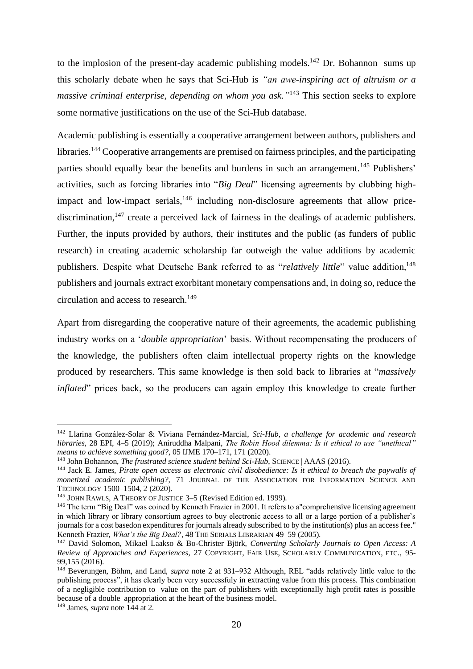to the implosion of the present-day academic publishing models.<sup>142</sup> Dr. Bohannon sums up this scholarly debate when he says that Sci-Hub is *"an awe-inspiring act of altruism or a massive criminal enterprise, depending on whom you ask."* <sup>143</sup> This section seeks to explore some normative justifications on the use of the Sci-Hub database.

Academic publishing is essentially a cooperative arrangement between authors, publishers and libraries.<sup>144</sup> Cooperative arrangements are premised on fairness principles, and the participating parties should equally bear the benefits and burdens in such an arrangement.<sup>145</sup> Publishers' activities, such as forcing libraries into "*Big Deal*" licensing agreements by clubbing highimpact and low-impact serials,<sup>146</sup> including non-disclosure agreements that allow pricediscrimination,<sup>147</sup> create a perceived lack of fairness in the dealings of academic publishers. Further, the inputs provided by authors, their institutes and the public (as funders of public research) in creating academic scholarship far outweigh the value additions by academic publishers. Despite what Deutsche Bank referred to as "*relatively little*" value addition, 148 publishers and journals extract exorbitant monetary compensations and, in doing so, reduce the circulation and access to research.<sup>149</sup>

Apart from disregarding the cooperative nature of their agreements, the academic publishing industry works on a '*double appropriation*' basis. Without recompensating the producers of the knowledge, the publishers often claim intellectual property rights on the knowledge produced by researchers. This same knowledge is then sold back to libraries at "*massively inflated*" prices back, so the producers can again employ this knowledge to create further

<sup>149</sup> James, *supra* note 144 at 2.

<sup>142</sup> Llarina González-Solar & Viviana Fernández-Marcial, *Sci-Hub, a challenge for academic and research libraries*, 28 EPI, 4–5 (2019); Aniruddha Malpani, *The Robin Hood dilemma: Is it ethical to use "unethical" means to achieve something good?*, 05 IJME 170–171, 171 (2020).

<sup>143</sup> John Bohannon, *The frustrated science student behind Sci-Hub*, SCIENCE | AAAS (2016).

<sup>144</sup> Jack E. James, *Pirate open access as electronic civil disobedience: Is it ethical to breach the paywalls of monetized academic publishing?*, 71 JOURNAL OF THE ASSOCIATION FOR INFORMATION SCIENCE AND TECHNOLOGY 1500–1504, 2 (2020).

<sup>&</sup>lt;sup>145</sup> JOHN RAWLS, A THEORY OF JUSTICE 3–5 (Revised Edition ed. 1999).

<sup>&</sup>lt;sup>146</sup> The term "Big Deal" was coined by Kenneth Frazier in 2001. It refers to a "comprehensive licensing agreement in which library or library consortium agrees to buy electronic access to all or a large portion of a publisher's journals for a cost basedon expenditures for journals already subscribed to by the institution(s) plus an access fee." Kenneth Frazier, *What's the Big Deal?*, 48 THE SERIALS LIBRARIAN 49–59 (2005).

<sup>147</sup> David Solomon, Mikael Laakso & Bo-Christer Björk, *Converting Scholarly Journals to Open Access: A Review of Approaches and Experiences*, 27 COPYRIGHT, FAIR USE, SCHOLARLY COMMUNICATION, ETC., 95- 99,155 (2016).

<sup>148</sup> Beverungen, Böhm, and Land, *supra* note 2 at 931–932 Although, REL "adds relatively little value to the publishing process", it has clearly been very successfuly in extracting value from this process. This combination of a negligible contribution to value on the part of publishers with exceptionally high profit rates is possible because of a double appropriation at the heart of the business model.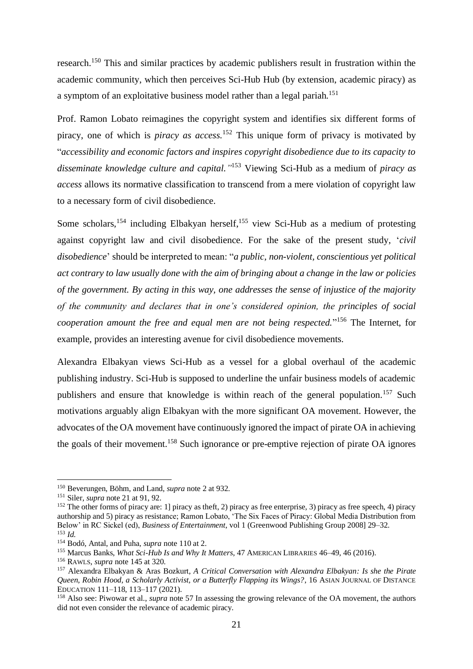research.<sup>150</sup> This and similar practices by academic publishers result in frustration within the academic community, which then perceives Sci-Hub Hub (by extension, academic piracy) as a symptom of an exploitative business model rather than a legal pariah.<sup>151</sup>

Prof. Ramon Lobato reimagines the copyright system and identifies six different forms of piracy, one of which is *piracy as access.*<sup>152</sup> This unique form of privacy is motivated by "*accessibility and economic factors and inspires copyright disobedience due to its capacity to disseminate knowledge culture and capital."* <sup>153</sup> Viewing Sci-Hub as a medium of *piracy as access* allows its normative classification to transcend from a mere violation of copyright law to a necessary form of civil disobedience.

Some scholars,<sup>154</sup> including Elbakyan herself,<sup>155</sup> view Sci-Hub as a medium of protesting against copyright law and civil disobedience. For the sake of the present study, '*civil disobedience*' should be interpreted to mean: "*a public, non-violent, conscientious yet political act contrary to law usually done with the aim of bringing about a change in the law or policies of the government. By acting in this way, one addresses the sense of injustice of the majority of the community and declares that in one's considered opinion, the principles of social cooperation amount the free and equal men are not being respected.*" <sup>156</sup> The Internet, for example, provides an interesting avenue for civil disobedience movements.

Alexandra Elbakyan views Sci-Hub as a vessel for a global overhaul of the academic publishing industry. Sci-Hub is supposed to underline the unfair business models of academic publishers and ensure that knowledge is within reach of the general population.<sup>157</sup> Such motivations arguably align Elbakyan with the more significant OA movement. However, the advocates of the OA movement have continuously ignored the impact of pirate OA in achieving the goals of their movement.<sup>158</sup> Such ignorance or pre-emptive rejection of pirate OA ignores

<sup>150</sup> Beverungen, Böhm, and Land, *supra* note 2 at 932.

<sup>151</sup> Siler, *supra* note 21 at 91, 92.

 $152$  The other forms of piracy are: 1] piracy as theft, 2) piracy as free enterprise, 3) piracy as free speech, 4) piracy authorship and 5) piracy as resistance; Ramon Lobato, 'The Six Faces of Piracy: Global Media Distribution from Below' in RC Sickel (ed), *Business of Entertainment*, vol 1 (Greenwood Publishing Group 2008] 29–32. <sup>153</sup> *Id.*

<sup>154</sup> Bodó, Antal, and Puha, *supra* note 110 at 2.

<sup>155</sup> Marcus Banks, *What Sci-Hub Is and Why It Matters*, 47 AMERICAN LIBRARIES 46–49, 46 (2016).

<sup>156</sup> RAWLS, *supra* note 145 at 320.

<sup>157</sup> Alexandra Elbakyan & Aras Bozkurt, *A Critical Conversation with Alexandra Elbakyan: Is she the Pirate Queen, Robin Hood, a Scholarly Activist, or a Butterfly Flapping its Wings?*, 16 ASIAN JOURNAL OF DISTANCE EDUCATION 111–118, 113–117 (2021).

<sup>158</sup> Also see: Piwowar et al., *supra* note 57 In assessing the growing relevance of the OA movement, the authors did not even consider the relevance of academic piracy.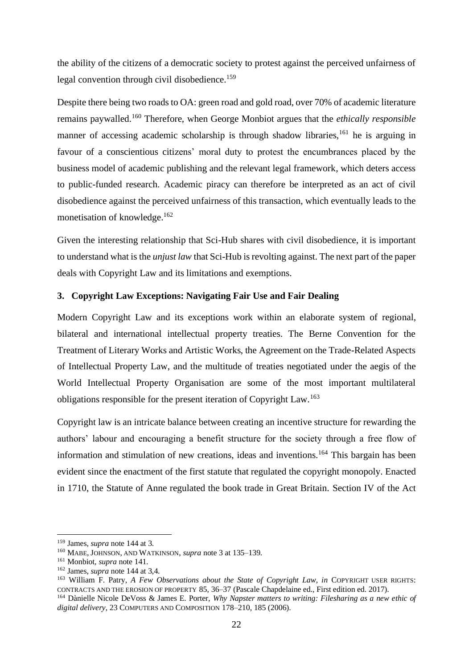the ability of the citizens of a democratic society to protest against the perceived unfairness of legal convention through civil disobedience.<sup>159</sup>

Despite there being two roads to OA: green road and gold road, over 70% of academic literature remains paywalled.<sup>160</sup> Therefore, when George Monbiot argues that the *ethically responsible*  manner of accessing academic scholarship is through shadow libraries,<sup>161</sup> he is arguing in favour of a conscientious citizens' moral duty to protest the encumbrances placed by the business model of academic publishing and the relevant legal framework, which deters access to public-funded research. Academic piracy can therefore be interpreted as an act of civil disobedience against the perceived unfairness of this transaction, which eventually leads to the monetisation of knowledge.<sup>162</sup>

Given the interesting relationship that Sci-Hub shares with civil disobedience, it is important to understand what is the *unjust law* that Sci-Hub is revolting against. The next part of the paper deals with Copyright Law and its limitations and exemptions.

#### <span id="page-23-0"></span>**3. Copyright Law Exceptions: Navigating Fair Use and Fair Dealing**

Modern Copyright Law and its exceptions work within an elaborate system of regional, bilateral and international intellectual property treaties. The Berne Convention for the Treatment of Literary Works and Artistic Works, the Agreement on the Trade-Related Aspects of Intellectual Property Law, and the multitude of treaties negotiated under the aegis of the World Intellectual Property Organisation are some of the most important multilateral obligations responsible for the present iteration of Copyright Law.<sup>163</sup>

Copyright law is an intricate balance between creating an incentive structure for rewarding the authors' labour and encouraging a benefit structure for the society through a free flow of information and stimulation of new creations, ideas and inventions.<sup>164</sup> This bargain has been evident since the enactment of the first statute that regulated the copyright monopoly. Enacted in 1710, the Statute of Anne regulated the book trade in Great Britain. Section IV of the Act

<sup>159</sup> James, *supra* note 144 at 3.

<sup>160</sup> MABE, JOHNSON, AND WATKINSON, *supra* note 3 at 135–139.

<sup>161</sup> Monbiot, *supra* note 141.

<sup>162</sup> James, *supra* note 144 at 3,4.

<sup>163</sup> William F. Patry, *A Few Observations about the State of Copyright Law*, *in* COPYRIGHT USER RIGHTS: CONTRACTS AND THE EROSION OF PROPERTY 85, 36–37 (Pascale Chapdelaine ed., First edition ed. 2017).

<sup>164</sup> Dànielle Nicole DeVoss & James E. Porter, *Why Napster matters to writing: Filesharing as a new ethic of digital delivery*, 23 COMPUTERS AND COMPOSITION 178–210, 185 (2006).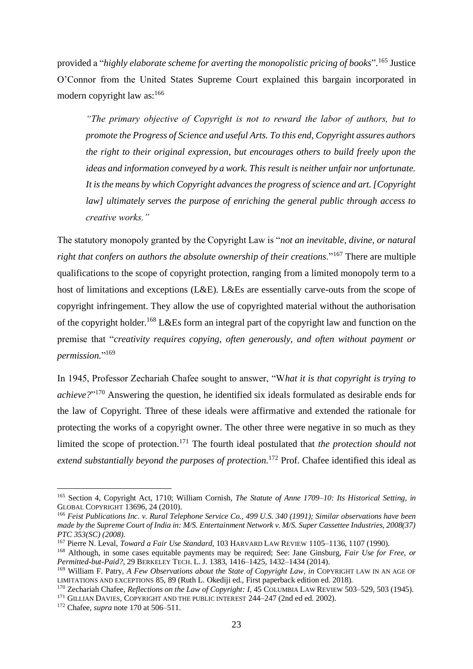provided a "*highly elaborate scheme for averting the monopolistic pricing of books*". <sup>165</sup> Justice O'Connor from the United States Supreme Court explained this bargain incorporated in modern copyright law as:<sup>166</sup>

*"The primary objective of Copyright is not to reward the labor of authors, but to promote the Progress of Science and useful Arts. To this end, Copyright assures authors the right to their original expression, but encourages others to build freely upon the ideas and information conveyed by a work. This result is neither unfair nor unfortunate. It is the means by which Copyright advances the progress of science and art. [Copyright law] ultimately serves the purpose of enriching the general public through access to creative works."*

The statutory monopoly granted by the Copyright Law is "*not an inevitable, divine, or natural right that confers on authors the absolute ownership of their creations*."<sup>167</sup> There are multiple qualifications to the scope of copyright protection, ranging from a limited monopoly term to a host of limitations and exceptions (L&E). L&Es are essentially carve-outs from the scope of copyright infringement. They allow the use of copyrighted material without the authorisation of the copyright holder.<sup>168</sup> L&Es form an integral part of the copyright law and function on the premise that "*creativity requires copying, often generously, and often without payment or permission.*" 169

In 1945, Professor Zechariah Chafee sought to answer, "W*hat it is that copyright is trying to achieve?*" <sup>170</sup> Answering the question, he identified six ideals formulated as desirable ends for the law of Copyright. Three of these ideals were affirmative and extended the rationale for protecting the works of a copyright owner. The other three were negative in so much as they limited the scope of protection.<sup>171</sup> The fourth ideal postulated that *the protection should not extend substantially beyond the purposes of protection.*<sup>172</sup> Prof. Chafee identified this ideal as

<sup>165</sup> Section 4, Copyright Act, 1710; William Cornish, *The Statute of Anne 1709–10: Its Historical Setting*, *in* GLOBAL COPYRIGHT 13696, 24 (2010).

<sup>166</sup> *Feist Publications Inc. v. Rural Telephone Service Co., 499 U.S. 340 (1991); Similar observations have been made by the Supreme Court of India in: M/S. Entertainment Network v. M/S. Super Cassettee Industries, 2008(37) PTC 353(SC) (2008).*

<sup>167</sup> Pierre N. Leval, *Toward a Fair Use Standard*, 103 HARVARD LAW REVIEW 1105–1136, 1107 (1990).

<sup>168</sup> Although, in some cases equitable payments may be required; See: Jane Ginsburg, *Fair Use for Free, or Permitted-but-Paid?*, 29 BERKELEY TECH. L. J. 1383, 1416–1425, 1432–1434 (2014).

<sup>169</sup> William F. Patry, *A Few Observations about the State of Copyright Law*, *in* COPYRIGHT LAW IN AN AGE OF LIMITATIONS AND EXCEPTIONS 85, 89 (Ruth L. Okediji ed., First paperback edition ed. 2018).

<sup>170</sup> Zechariah Chafee, *Reflections on the Law of Copyright: I*, 45 COLUMBIA LAW REVIEW 503–529, 503 (1945).

<sup>&</sup>lt;sup>171</sup> GILLIAN DAVIES, COPYRIGHT AND THE PUBLIC INTEREST 244-247 (2nd ed ed. 2002).

<sup>172</sup> Chafee, *supra* note 170 at 506–511.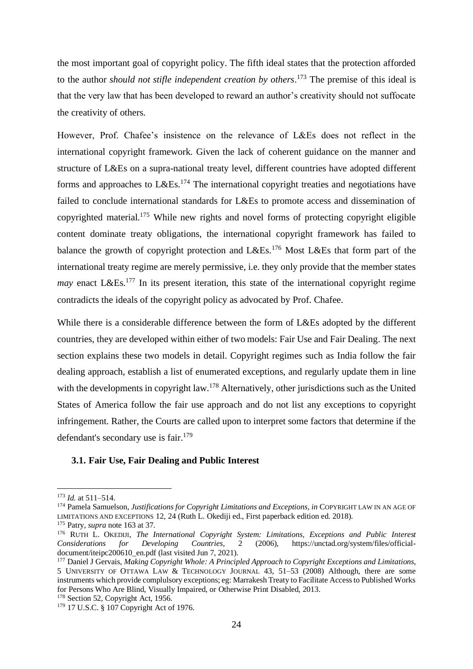the most important goal of copyright policy. The fifth ideal states that the protection afforded to the author *should not stifle independent creation by others*. <sup>173</sup> The premise of this ideal is that the very law that has been developed to reward an author's creativity should not suffocate the creativity of others.

However, Prof. Chafee's insistence on the relevance of L&Es does not reflect in the international copyright framework. Given the lack of coherent guidance on the manner and structure of L&Es on a supra-national treaty level, different countries have adopted different forms and approaches to  $L&Es.$ <sup>174</sup> The international copyright treaties and negotiations have failed to conclude international standards for L&Es to promote access and dissemination of copyrighted material.<sup>175</sup> While new rights and novel forms of protecting copyright eligible content dominate treaty obligations, the international copyright framework has failed to balance the growth of copyright protection and  $L&Es.176$  Most L $&Es$  that form part of the international treaty regime are merely permissive, i.e. they only provide that the member states *may* enact L&Es.<sup>177</sup> In its present iteration, this state of the international copyright regime contradicts the ideals of the copyright policy as advocated by Prof. Chafee.

While there is a considerable difference between the form of L&Es adopted by the different countries, they are developed within either of two models: Fair Use and Fair Dealing. The next section explains these two models in detail. Copyright regimes such as India follow the fair dealing approach, establish a list of enumerated exceptions, and regularly update them in line with the developments in copyright law.<sup>178</sup> Alternatively, other jurisdictions such as the United States of America follow the fair use approach and do not list any exceptions to copyright infringement. Rather, the Courts are called upon to interpret some factors that determine if the defendant's secondary use is fair.<sup>179</sup>

#### <span id="page-25-0"></span>**3.1. Fair Use, Fair Dealing and Public Interest**

<sup>173</sup> *Id.* at 511–514.

<sup>174</sup> Pamela Samuelson, *Justifications for Copyright Limitations and Exceptions*, *in* COPYRIGHT LAW IN AN AGE OF LIMITATIONS AND EXCEPTIONS 12, 24 (Ruth L. Okediji ed., First paperback edition ed. 2018).

<sup>175</sup> Patry, *supra* note 163 at 37.

<sup>176</sup> RUTH L. OKEDIJI, *The International Copyright System: Limitations, Exceptions and Public Interest Considerations for Developing Countries*, 2 (2006), https://unctad.org/system/files/officialdocument/iteipc200610\_en.pdf (last visited Jun 7, 2021).

<sup>177</sup> Daniel J Gervais, *Making Copyright Whole: A Principled Approach to Copyright Exceptions and Limitations*, 5 UNIVERSITY OF OTTAWA LAW & TECHNOLOGY JOURNAL 43, 51–53 (2008) Although, there are some instruments which provide complulsory exceptions; eg: Marrakesh Treaty to Facilitate Access to Published Works for Persons Who Are Blind, Visually Impaired, or Otherwise Print Disabled, 2013.

<sup>&</sup>lt;sup>178</sup> Section 52, Copyright Act, 1956.

<sup>&</sup>lt;sup>179</sup> 17 U.S.C. § 107 Copyright Act of 1976.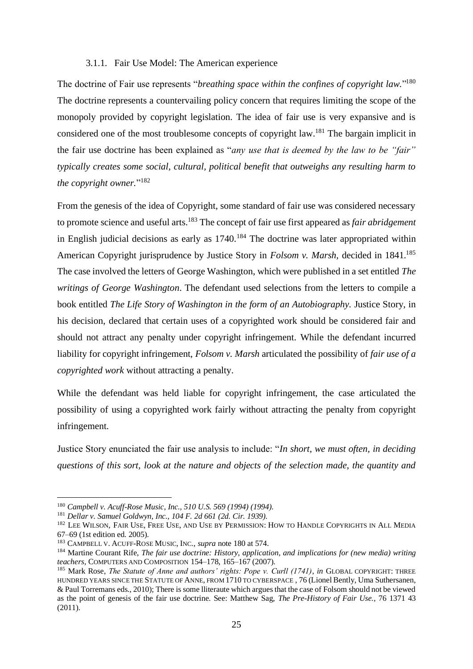#### 3.1.1. Fair Use Model: The American experience

<span id="page-26-0"></span>The doctrine of Fair use represents "*breathing space within the confines of copyright law.*" 180 The doctrine represents a countervailing policy concern that requires limiting the scope of the monopoly provided by copyright legislation. The idea of fair use is very expansive and is considered one of the most troublesome concepts of copyright law.<sup>181</sup> The bargain implicit in the fair use doctrine has been explained as "*any use that is deemed by the law to be "fair" typically creates some social, cultural, political benefit that outweighs any resulting harm to the copyright owner.*" 182

From the genesis of the idea of Copyright, some standard of fair use was considered necessary to promote science and useful arts.<sup>183</sup> The concept of fair use first appeared as *fair abridgement*  in English judicial decisions as early as  $1740$ .<sup>184</sup> The doctrine was later appropriated within American Copyright jurisprudence by Justice Story in *Folsom v. Marsh*, decided in 1841.<sup>185</sup> The case involved the letters of George Washington, which were published in a set entitled *The writings of George Washington*. The defendant used selections from the letters to compile a book entitled *The Life Story of Washington in the form of an Autobiography*. Justice Story, in his decision, declared that certain uses of a copyrighted work should be considered fair and should not attract any penalty under copyright infringement. While the defendant incurred liability for copyright infringement, *Folsom v. Marsh* articulated the possibility of *fair use of a copyrighted work* without attracting a penalty.

While the defendant was held liable for copyright infringement, the case articulated the possibility of using a copyrighted work fairly without attracting the penalty from copyright infringement.

Justice Story enunciated the fair use analysis to include: "*In short, we must often, in deciding questions of this sort, look at the nature and objects of the selection made, the quantity and* 

<sup>180</sup> *Campbell v. Acuff-Rose Music, Inc., 510 U.S. 569 (1994) (1994).*

<sup>181</sup> *Dellar v. Samuel Goldwyn, Inc., 104 F. 2d 661 (2d. Cir. 1939).*

<sup>&</sup>lt;sup>182</sup> LEE WILSON, FAIR USE, FREE USE, AND USE BY PERMISSION: HOW TO HANDLE COPYRIGHTS IN ALL MEDIA 67–69 (1st edition ed. 2005).

<sup>183</sup> CAMPBELL V. ACUFF-ROSE MUSIC, INC., *supra* note 180 at 574.

<sup>184</sup> Martine Courant Rife, *The fair use doctrine: History, application, and implications for (new media) writing teachers*, COMPUTERS AND COMPOSITION 154–178, 165–167 (2007).

<sup>185</sup> Mark Rose, *The Statute of Anne and authors' rights: Pope v. Curll (1741)*, *in* GLOBAL COPYRIGHT: THREE HUNDRED YEARS SINCE THE STATUTE OF ANNE, FROM 1710 TO CYBERSPACE , 76 (Lionel Bently, Uma Suthersanen, & Paul Torremans eds., 2010); There is some lliteraute which argues that the case of Folsom should not be viewed as the point of genesis of the fair use doctrine. See: Matthew Sag, *The Pre-History of Fair Use.*, 76 1371 43  $(2011).$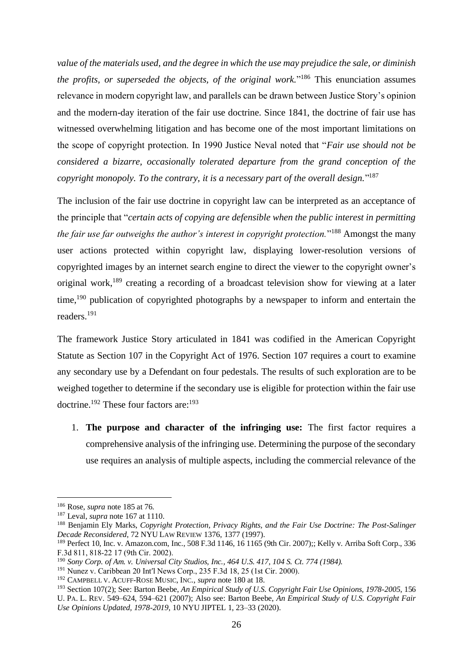*value of the materials used, and the degree in which the use may prejudice the sale, or diminish the profits, or superseded the objects, of the original work.*" <sup>186</sup> This enunciation assumes relevance in modern copyright law, and parallels can be drawn between Justice Story's opinion and the modern-day iteration of the fair use doctrine. Since 1841, the doctrine of fair use has witnessed overwhelming litigation and has become one of the most important limitations on the scope of copyright protection. In 1990 Justice Neval noted that "*Fair use should not be considered a bizarre, occasionally tolerated departure from the grand conception of the copyright monopoly. To the contrary, it is a necessary part of the overall design.*" 187

The inclusion of the fair use doctrine in copyright law can be interpreted as an acceptance of the principle that "*certain acts of copying are defensible when the public interest in permitting the fair use far outweighs the author's interest in copyright protection.*" <sup>188</sup> Amongst the many user actions protected within copyright law, displaying lower-resolution versions of copyrighted images by an internet search engine to direct the viewer to the copyright owner's original work,<sup>189</sup> creating a recording of a broadcast television show for viewing at a later time,<sup>190</sup> publication of copyrighted photographs by a newspaper to inform and entertain the readers.<sup>191</sup>

The framework Justice Story articulated in 1841 was codified in the American Copyright Statute as Section 107 in the Copyright Act of 1976. Section 107 requires a court to examine any secondary use by a Defendant on four pedestals. The results of such exploration are to be weighed together to determine if the secondary use is eligible for protection within the fair use doctrine.<sup>192</sup> These four factors are:<sup>193</sup>

1. **The purpose and character of the infringing use:** The first factor requires a comprehensive analysis of the infringing use. Determining the purpose of the secondary use requires an analysis of multiple aspects, including the commercial relevance of the

<sup>186</sup> Rose, *supra* note 185 at 76.

<sup>187</sup> Leval, *supra* note 167 at 1110.

<sup>188</sup> Benjamin Ely Marks, *Copyright Protection, Privacy Rights, and the Fair Use Doctrine: The Post-Salinger Decade Reconsidered*, 72 NYU LAW REVIEW 1376, 1377 (1997).

<sup>189</sup> Perfect 10, Inc. v. Amazon.com, Inc., 508 F.3d 1146, 16 1165 (9th Cir. 2007);; Kelly v. Arriba Soft Corp., 336 F.3d 811, 818‐22 17 (9th Cir. 2002).

<sup>190</sup> *Sony Corp. of Am. v. Universal City Studios, Inc., 464 U.S. 417, 104 S. Ct. 774 (1984).*

<sup>&</sup>lt;sup>191</sup> Nunez v. Caribbean 20 Int'l News Corp., 235 F.3d 18, 25 (1st Cir. 2000).

<sup>192</sup> CAMPBELL V. ACUFF-ROSE MUSIC, INC., *supra* note 180 at 18.

<sup>193</sup> Section 107(2); See: Barton Beebe, *An Empirical Study of U.S. Copyright Fair Use Opinions, 1978-2005*, 156 U. PA. L. REV. 549–624, 594–621 (2007); Also see: Barton Beebe, *An Empirical Study of U.S. Copyright Fair Use Opinions Updated, 1978-2019*, 10 NYU JIPTEL 1, 23–33 (2020).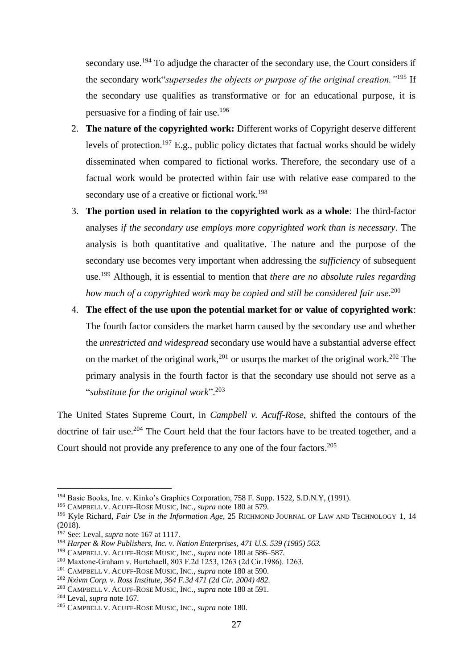secondary use.<sup>194</sup> To adjudge the character of the secondary use, the Court considers if the secondary work"*supersedes the objects or purpose of the original creation."*<sup>195</sup> If the secondary use qualifies as transformative or for an educational purpose, it is persuasive for a finding of fair use.<sup>196</sup>

- 2. **The nature of the copyrighted work:** Different works of Copyright deserve different levels of protection.<sup>197</sup> E.g., public policy dictates that factual works should be widely disseminated when compared to fictional works. Therefore, the secondary use of a factual work would be protected within fair use with relative ease compared to the secondary use of a creative or fictional work.<sup>198</sup>
- 3. **The portion used in relation to the copyrighted work as a whole**: The third-factor analyses *if the secondary use employs more copyrighted work than is necessary*. The analysis is both quantitative and qualitative. The nature and the purpose of the secondary use becomes very important when addressing the *sufficiency* of subsequent use.<sup>199</sup> Although, it is essential to mention that *there are no absolute rules regarding how much of a copyrighted work may be copied and still be considered fair use.*<sup>200</sup>
- 4. **The effect of the use upon the potential market for or value of copyrighted work**: The fourth factor considers the market harm caused by the secondary use and whether the *unrestricted and widespread* secondary use would have a substantial adverse effect on the market of the original work,<sup>201</sup> or usurps the market of the original work.<sup>202</sup> The primary analysis in the fourth factor is that the secondary use should not serve as a "*substitute for the original work*". 203

The United States Supreme Court, in *Campbell v. Acuff-Rose,* shifted the contours of the doctrine of fair use.<sup>204</sup> The Court held that the four factors have to be treated together, and a Court should not provide any preference to any one of the four factors. 205

<sup>194</sup> Basic Books, Inc. v. Kinko's Graphics Corporation, 758 F. Supp. 1522, S.D.N.Y, (1991).

<sup>195</sup> CAMPBELL V. ACUFF-ROSE MUSIC, INC., *supra* note 180 at 579.

<sup>196</sup> Kyle Richard, *Fair Use in the Information Age*, 25 RICHMOND JOURNAL OF LAW AND TECHNOLOGY 1, 14 (2018).

<sup>197</sup> See: Leval, *supra* note 167 at 1117.

<sup>198</sup> *Harper & Row Publishers, Inc. v. Nation Enterprises, 471 U.S. 539 (1985) 563.*

<sup>199</sup> CAMPBELL V. ACUFF-ROSE MUSIC, INC., *supra* note 180 at 586–587.

<sup>200</sup> Maxtone‐Graham v. Burtchaell, 803 F.2d 1253, 1263 (2d Cir.1986). 1263.

<sup>201</sup> CAMPBELL V. ACUFF-ROSE MUSIC, INC., *supra* note 180 at 590.

<sup>202</sup> *Nxivm Corp. v. Ross Institute, 364 F.3d 471 (2d Cir. 2004) 482.*

<sup>203</sup> CAMPBELL V. ACUFF-ROSE MUSIC, INC., *supra* note 180 at 591.

<sup>204</sup> Leval, *supra* note 167.

<sup>205</sup> CAMPBELL V. ACUFF-ROSE MUSIC, INC., *supra* note 180.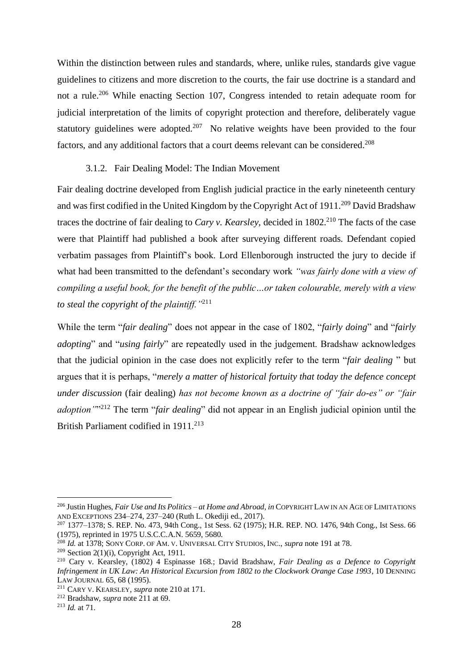Within the distinction between rules and standards, where, unlike rules, standards give vague guidelines to citizens and more discretion to the courts, the fair use doctrine is a standard and not a rule.<sup>206</sup> While enacting Section 107, Congress intended to retain adequate room for judicial interpretation of the limits of copyright protection and therefore, deliberately vague statutory guidelines were adopted.<sup>207</sup> No relative weights have been provided to the four factors, and any additional factors that a court deems relevant can be considered.<sup>208</sup>

#### 3.1.2. Fair Dealing Model: The Indian Movement

<span id="page-29-0"></span>Fair dealing doctrine developed from English judicial practice in the early nineteenth century and was first codified in the United Kingdom by the Copyright Act of  $1911$ <sup>209</sup> David Bradshaw traces the doctrine of fair dealing to *Cary v. Kearsley*, decided in 1802.<sup>210</sup> The facts of the case were that Plaintiff had published a book after surveying different roads. Defendant copied verbatim passages from Plaintiff's book. Lord Ellenborough instructed the jury to decide if what had been transmitted to the defendant's secondary work *"was fairly done with a view of compiling a useful book, for the benefit of the public…or taken colourable, merely with a view to steal the copyright of the plaintiff."*<sup>211</sup>

While the term "*fair dealing*" does not appear in the case of 1802, "*fairly doing*" and "*fairly adopting*" and "*using fairly*" are repeatedly used in the judgement. Bradshaw acknowledges that the judicial opinion in the case does not explicitly refer to the term "*fair dealing* " but argues that it is perhaps, "*merely a matter of historical fortuity that today the defence concept under discussion* (fair dealing) *has not become known as a doctrine of "fair do-es" or "fair adoption"*" <sup>212</sup> The term "*fair dealing*" did not appear in an English judicial opinion until the British Parliament codified in 1911.<sup>213</sup>

<sup>206</sup> Justin Hughes, *Fair Use and Its Politics – at Home and Abroad*, *in* COPYRIGHT LAW IN AN AGE OF LIMITATIONS AND EXCEPTIONS 234–274, 237–240 (Ruth L. Okediji ed., 2017).

<sup>207</sup> 1377–1378; S. REP. No. 473, 94th Cong., 1st Sess. 62 (1975); H.R. REP. NO. 1476, 94th Cong., Ist Sess. 66 (1975), reprinted in 1975 U.S.C.C.A.N. 5659, 5680.

<sup>208</sup> *Id.* at 1378; SONY CORP. OF AM. V. UNIVERSAL CITY STUDIOS, INC., *supra* note 191 at 78.

<sup>&</sup>lt;sup>209</sup> Section 2(1)(i), Copyright Act, 1911.

<sup>210</sup> Cary v. Kearsley, (1802) 4 Espinasse 168.; David Bradshaw, *Fair Dealing as a Defence to Copyright Infringement in UK Law: An Historical Excursion from 1802 to the Clockwork Orange Case 1993*, 10 DENNING LAW JOURNAL 65, 68 (1995).

<sup>211</sup> CARY V. KEARSLEY, *supra* note 210 at 171.

<sup>212</sup> Bradshaw, *supra* note 211 at 69.

<sup>213</sup> *Id.* at 71.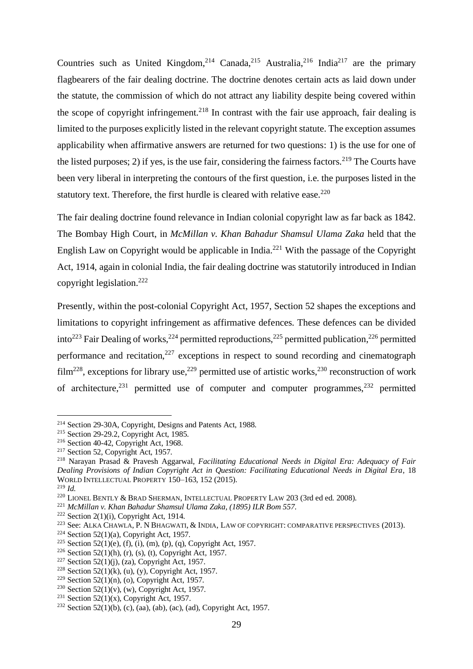Countries such as United Kingdom,<sup>214</sup> Canada,<sup>215</sup> Australia,<sup>216</sup> India<sup>217</sup> are the primary flagbearers of the fair dealing doctrine. The doctrine denotes certain acts as laid down under the statute, the commission of which do not attract any liability despite being covered within the scope of copyright infringement.<sup>218</sup> In contrast with the fair use approach, fair dealing is limited to the purposes explicitly listed in the relevant copyright statute. The exception assumes applicability when affirmative answers are returned for two questions: 1) is the use for one of the listed purposes; 2) if yes, is the use fair, considering the fairness factors.<sup>219</sup> The Courts have been very liberal in interpreting the contours of the first question, i.e. the purposes listed in the statutory text. Therefore, the first hurdle is cleared with relative ease. $220$ 

The fair dealing doctrine found relevance in Indian colonial copyright law as far back as 1842. The Bombay High Court, in *McMillan v. Khan Bahadur Shamsul Ulama Zaka* held that the English Law on Copyright would be applicable in India.<sup>221</sup> With the passage of the Copyright Act, 1914, again in colonial India, the fair dealing doctrine was statutorily introduced in Indian copyright legislation. 222

Presently, within the post-colonial Copyright Act, 1957, Section 52 shapes the exceptions and limitations to copyright infringement as affirmative defences. These defences can be divided into<sup>223</sup> Fair Dealing of works,<sup>224</sup> permitted reproductions,<sup>225</sup> permitted publication,<sup>226</sup> permitted performance and recitation, $227$  exceptions in respect to sound recording and cinematograph film<sup>228</sup>, exceptions for library use,<sup>229</sup> permitted use of artistic works,<sup>230</sup> reconstruction of work of architecture,  $231$  permitted use of computer and computer programmes,  $232$  permitted

<sup>214</sup> Section 29-30A, Copyright, Designs and Patents Act, 1988.

<sup>215</sup> Section 29-29.2, Copyright Act, 1985.

<sup>216</sup> Section 40-42, Copyright Act, 1968.

<sup>&</sup>lt;sup>217</sup> Section 52, Copyright Act, 1957.

<sup>218</sup> Narayan Prasad & Pravesh Aggarwal, *Facilitating Educational Needs in Digital Era: Adequacy of Fair Dealing Provisions of Indian Copyright Act in Question: Facilitating Educational Needs in Digital Era*, 18 WORLD INTELLECTUAL PROPERTY 150–163, 152 (2015).

<sup>219</sup> *Id.*

<sup>220</sup> LIONEL BENTLY & BRAD SHERMAN, INTELLECTUAL PROPERTY LAW 203 (3rd ed ed. 2008).

<sup>221</sup> *McMillan v. Khan Bahadur Shamsul Ulama Zaka, (1895) ILR Bom 557.*

<sup>&</sup>lt;sup>222</sup> Section 2(1)(i), Copyright Act, 1914.

<sup>223</sup> See: ALKA CHAWLA, P. N BHAGWATI, & INDIA, LAW OF COPYRIGHT: COMPARATIVE PERSPECTIVES (2013).

<sup>&</sup>lt;sup>224</sup> Section 52(1)(a), Copyright Act, 1957.

<sup>&</sup>lt;sup>225</sup> Section 52(1)(e), (f), (i), (m), (p), (q), Copyright Act, 1957.

<sup>&</sup>lt;sup>226</sup> Section 52(1)(h), (r), (s), (t), Copyright Act, 1957.

<sup>&</sup>lt;sup>227</sup> Section 52(1)(j), (za), Copyright Act, 1957.

<sup>&</sup>lt;sup>228</sup> Section 52(1)(k), (u), (y), Copyright Act, 1957.

<sup>&</sup>lt;sup>229</sup> Section 52(1)(n), (o), Copyright Act, 1957.

<sup>&</sup>lt;sup>230</sup> Section 52(1)(v), (w), Copyright Act, 1957.

<sup>&</sup>lt;sup>231</sup> Section 52(1)(x), Copyright Act, 1957.

<sup>&</sup>lt;sup>232</sup> Section 52(1)(b), (c), (aa), (ab), (ac), (ad), Copyright Act, 1957.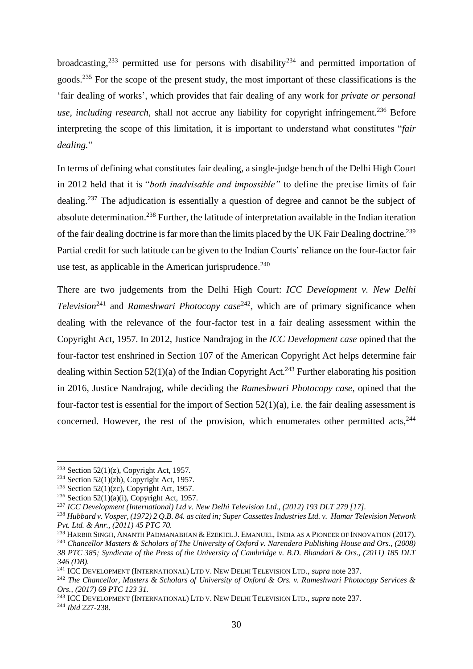broadcasting,<sup>233</sup> permitted use for persons with disability<sup>234</sup> and permitted importation of goods.<sup>235</sup> For the scope of the present study, the most important of these classifications is the 'fair dealing of works', which provides that fair dealing of any work for *private or personal use, including research*, shall not accrue any liability for copyright infringement.<sup>236</sup> Before interpreting the scope of this limitation, it is important to understand what constitutes "*fair dealing.*"

In terms of defining what constitutes fair dealing, a single-judge bench of the Delhi High Court in 2012 held that it is "*both inadvisable and impossible"* to define the precise limits of fair dealing.<sup>237</sup> The adjudication is essentially a question of degree and cannot be the subject of absolute determination.<sup>238</sup> Further, the latitude of interpretation available in the Indian iteration of the fair dealing doctrine is far more than the limits placed by the UK Fair Dealing doctrine.<sup>239</sup> Partial credit for such latitude can be given to the Indian Courts' reliance on the four-factor fair use test, as applicable in the American jurisprudence.<sup>240</sup>

There are two judgements from the Delhi High Court: *ICC Development v. New Delhi Television*<sup>241</sup> and *Rameshwari Photocopy case*<sup>242</sup>, which are of primary significance when dealing with the relevance of the four-factor test in a fair dealing assessment within the Copyright Act, 1957. In 2012, Justice Nandrajog in the *ICC Development case* opined that the four-factor test enshrined in Section 107 of the American Copyright Act helps determine fair dealing within Section  $52(1)(a)$  of the Indian Copyright Act.<sup>243</sup> Further elaborating his position in 2016, Justice Nandrajog, while deciding the *Rameshwari Photocopy case,* opined that the four-factor test is essential for the import of Section 52(1)(a), i.e. the fair dealing assessment is concerned. However, the rest of the provision, which enumerates other permitted acts.<sup>244</sup>

<sup>&</sup>lt;sup>233</sup> Section 52(1)(z), Copyright Act, 1957.

<sup>&</sup>lt;sup>234</sup> Section 52(1)(zb), Copyright Act, 1957.

<sup>&</sup>lt;sup>235</sup> Section 52(1)(zc), Copyright Act, 1957.

<sup>&</sup>lt;sup>236</sup> Section 52(1)(a)(i), Copyright Act, 1957.

<sup>237</sup> *ICC Development (International) Ltd v. New Delhi Television Ltd., (2012) 193 DLT 279 [17].*

<sup>238</sup> *Hubbard v. Vosper, (1972) 2 Q.B. 84. as cited in; Super Cassettes Industries Ltd. v. Hamar Television Network Pvt. Ltd. & Anr., (2011) 45 PTC 70.*

<sup>&</sup>lt;sup>239</sup> HARBIR SINGH, ANANTH PADMANABHAN & EZEKIEL J. EMANUEL, INDIA AS A PIONEER OF INNOVATION (2017).

<sup>240</sup> *Chancellor Masters & Scholars of The University of Oxford v. Narendera Publishing House and Ors., (2008) 38 PTC 385; Syndicate of the Press of the University of Cambridge v. B.D. Bhandari & Ors., (2011) 185 DLT 346 (DB).*

<sup>241</sup> ICC DEVELOPMENT (INTERNATIONAL) LTD V. NEW DELHI TELEVISION LTD., *supra* note 237.

<sup>242</sup> *The Chancellor, Masters & Scholars of University of Oxford & Ors. v. Rameshwari Photocopy Services & Ors., (2017) 69 PTC 123 31.*

<sup>243</sup> ICC DEVELOPMENT (INTERNATIONAL) LTD V. NEW DELHI TELEVISION LTD., *supra* note 237. <sup>244</sup> *Ibid* 227-238.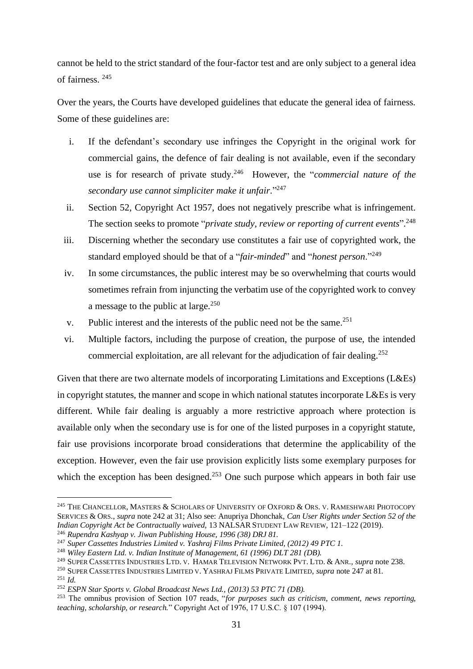cannot be held to the strict standard of the four-factor test and are only subject to a general idea of fairness. <sup>245</sup>

Over the years, the Courts have developed guidelines that educate the general idea of fairness. Some of these guidelines are:

- i. If the defendant's secondary use infringes the Copyright in the original work for commercial gains, the defence of fair dealing is not available, even if the secondary use is for research of private study.<sup>246</sup> However, the "*commercial nature of the secondary use cannot simpliciter make it unfair*." 247
- ii. Section 52, Copyright Act 1957, does not negatively prescribe what is infringement. The section seeks to promote "*private study, review or reporting of current events*". 248
- iii. Discerning whether the secondary use constitutes a fair use of copyrighted work, the standard employed should be that of a "*fair-minded*" and "*honest person*."<sup>249</sup>
- iv. In some circumstances, the public interest may be so overwhelming that courts would sometimes refrain from injuncting the verbatim use of the copyrighted work to convey a message to the public at large. $250$
- v. Public interest and the interests of the public need not be the same.<sup>251</sup>
- vi. Multiple factors, including the purpose of creation, the purpose of use, the intended commercial exploitation, are all relevant for the adjudication of fair dealing.<sup>252</sup>

Given that there are two alternate models of incorporating Limitations and Exceptions (L&Es) in copyright statutes, the manner and scope in which national statutes incorporate L&Es is very different. While fair dealing is arguably a more restrictive approach where protection is available only when the secondary use is for one of the listed purposes in a copyright statute, fair use provisions incorporate broad considerations that determine the applicability of the exception. However, even the fair use provision explicitly lists some exemplary purposes for which the exception has been designed.<sup>253</sup> One such purpose which appears in both fair use

<sup>&</sup>lt;sup>245</sup> THE CHANCELLOR, MASTERS & SCHOLARS OF UNIVERSITY OF OXFORD & ORS. V. RAMESHWARI PHOTOCOPY SERVICES & ORS., *supra* note 242 at 31; Also see: Anupriya Dhonchak, *Can User Rights under Section 52 of the Indian Copyright Act be Contractually waived*, 13 NALSAR STUDENT LAW REVIEW, 121–122 (2019).

<sup>246</sup> *Rupendra Kashyap v. Jiwan Publishing House, 1996 (38) DRJ 81.*

<sup>247</sup> *Super Cassettes Industries Limited v. Yashraj Films Private Limited, (2012) 49 PTC 1.*

<sup>248</sup> *Wiley Eastern Ltd. v. Indian Institute of Management, 61 (1996) DLT 281 (DB).*

<sup>249</sup> SUPER CASSETTES INDUSTRIES LTD. V. HAMAR TELEVISION NETWORK PVT. LTD. & ANR., *supra* note 238.

<sup>250</sup> SUPER CASSETTES INDUSTRIES LIMITED V. YASHRAJ FILMS PRIVATE LIMITED, *supra* note 247 at 81.

<sup>251</sup> *Id.*

<sup>252</sup> *ESPN Star Sports v. Global Broadcast News Ltd., (2013) 53 PTC 71 (DB).*

<sup>253</sup> The omnibus provision of Section 107 reads, "*for purposes such as criticism, comment, news reporting, teaching, scholarship, or research.*" Copyright Act of 1976, 17 U.S.C. § 107 (1994).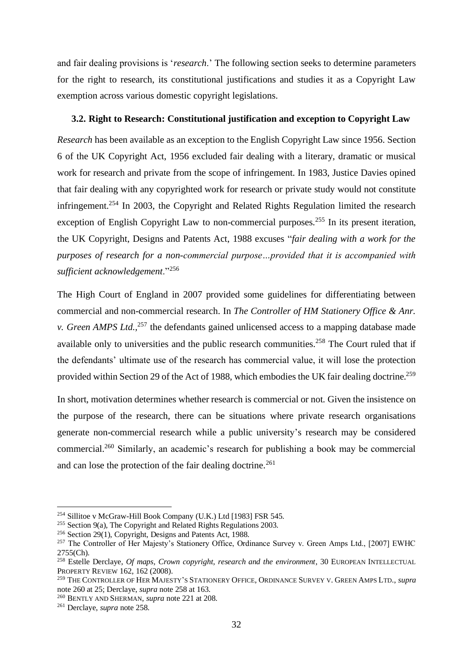and fair dealing provisions is '*research*.' The following section seeks to determine parameters for the right to research, its constitutional justifications and studies it as a Copyright Law exemption across various domestic copyright legislations.

#### <span id="page-33-0"></span>**3.2. Right to Research: Constitutional justification and exception to Copyright Law**

*Research* has been available as an exception to the English Copyright Law since 1956. Section 6 of the UK Copyright Act, 1956 excluded fair dealing with a literary, dramatic or musical work for research and private from the scope of infringement. In 1983, Justice Davies opined that fair dealing with any copyrighted work for research or private study would not constitute infringement.<sup>254</sup> In 2003, the Copyright and Related Rights Regulation limited the research exception of English Copyright Law to non-commercial purposes.<sup>255</sup> In its present iteration, the UK Copyright, Designs and Patents Act, 1988 excuses "*fair dealing with a work for the purposes of research for a non-commercial purpose…provided that it is accompanied with sufficient acknowledgement*."<sup>256</sup>

The High Court of England in 2007 provided some guidelines for differentiating between commercial and non-commercial research. In *The Controller of HM Stationery Office & Anr. v. Green AMPS Ltd.*,<sup>257</sup> the defendants gained unlicensed access to a mapping database made available only to universities and the public research communities.<sup>258</sup> The Court ruled that if the defendants' ultimate use of the research has commercial value, it will lose the protection provided within Section 29 of the Act of 1988, which embodies the UK fair dealing doctrine.<sup>259</sup>

In short, motivation determines whether research is commercial or not. Given the insistence on the purpose of the research, there can be situations where private research organisations generate non-commercial research while a public university's research may be considered commercial.<sup>260</sup> Similarly, an academic's research for publishing a book may be commercial and can lose the protection of the fair dealing doctrine.<sup>261</sup>

<sup>254</sup> Sillitoe v McGraw-Hill Book Company (U.K.) Ltd [1983] FSR 545.

 $255$  Section 9(a), The Copyright and Related Rights Regulations 2003.

<sup>256</sup> Section 29(1), Copyright, Designs and Patents Act, 1988.

<sup>&</sup>lt;sup>257</sup> The Controller of Her Majesty's Stationery Office, Ordinance Survey v. Green Amps Ltd., [2007] EWHC 2755(Ch).

<sup>&</sup>lt;sup>258</sup> Estelle Derclaye, *Of maps, Crown copyright, research and the environment*, 30 EUROPEAN INTELLECTUAL PROPERTY REVIEW 162, 162 (2008).

<sup>259</sup> THE CONTROLLER OF HER MAJESTY'S STATIONERY OFFICE, ORDINANCE SURVEY V. GREEN AMPS LTD., *supra* note 260 at 25; Derclaye, *supra* note 258 at 163.

<sup>260</sup> BENTLY AND SHERMAN, *supra* note 221 at 208.

<sup>261</sup> Derclaye, *supra* note 258.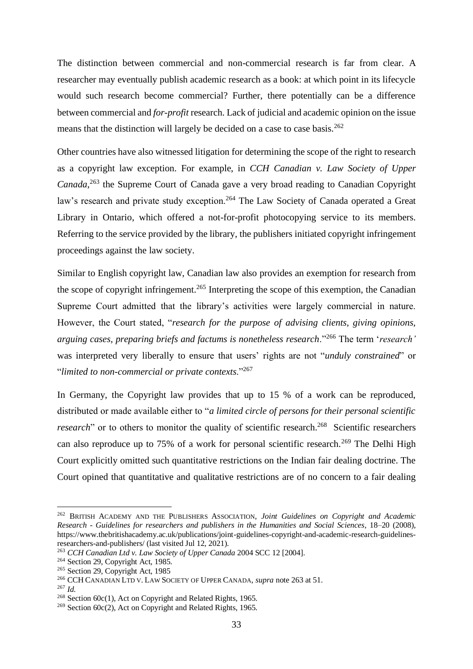The distinction between commercial and non-commercial research is far from clear. A researcher may eventually publish academic research as a book: at which point in its lifecycle would such research become commercial? Further, there potentially can be a difference between commercial and *for-profit* research. Lack of judicial and academic opinion on the issue means that the distinction will largely be decided on a case to case basis.<sup>262</sup>

Other countries have also witnessed litigation for determining the scope of the right to research as a copyright law exception. For example, in *CCH Canadian v. Law Society of Upper Canada*, <sup>263</sup> the Supreme Court of Canada gave a very broad reading to Canadian Copyright law's research and private study exception.<sup>264</sup> The Law Society of Canada operated a Great Library in Ontario, which offered a not-for-profit photocopying service to its members. Referring to the service provided by the library, the publishers initiated copyright infringement proceedings against the law society.

Similar to English copyright law, Canadian law also provides an exemption for research from the scope of copyright infringement.<sup>265</sup> Interpreting the scope of this exemption, the Canadian Supreme Court admitted that the library's activities were largely commercial in nature. However, the Court stated, "*research for the purpose of advising clients, giving opinions, arguing cases, preparing briefs and factums is nonetheless research*."<sup>266</sup> The term '*research'*  was interpreted very liberally to ensure that users' rights are not "*unduly constrained*" or "*limited to non-commercial or private contexts*."<sup>267</sup>

In Germany, the Copyright law provides that up to 15 % of a work can be reproduced, distributed or made available either to "*a limited circle of persons for their personal scientific research*" or to others to monitor the quality of scientific research.<sup>268</sup> Scientific researchers can also reproduce up to 75% of a work for personal scientific research.<sup>269</sup> The Delhi High Court explicitly omitted such quantitative restrictions on the Indian fair dealing doctrine. The Court opined that quantitative and qualitative restrictions are of no concern to a fair dealing

<sup>262</sup> BRITISH ACADEMY AND THE PUBLISHERS ASSOCIATION, *Joint Guidelines on Copyright and Academic Research - Guidelines for researchers and publishers in the Humanities and Social Sciences*, 18–20 (2008), https://www.thebritishacademy.ac.uk/publications/joint-guidelines-copyright-and-academic-research-guidelinesresearchers-and-publishers/ (last visited Jul 12, 2021).

<sup>263</sup> *CCH Canadian Ltd v. Law Society of Upper Canada* 2004 SCC 12 [2004].

<sup>&</sup>lt;sup>264</sup> Section 29, Copyright Act, 1985.

<sup>&</sup>lt;sup>265</sup> Section 29, Copyright Act, 1985

<sup>266</sup> CCH CANADIAN LTD V. LAW SOCIETY OF UPPER CANADA, *supra* note 263 at 51.

<sup>267</sup> *Id.*

<sup>268</sup> Section 60c(1), Act on Copyright and Related Rights, 1965.

<sup>&</sup>lt;sup>269</sup> Section  $60c(2)$ , Act on Copyright and Related Rights, 1965.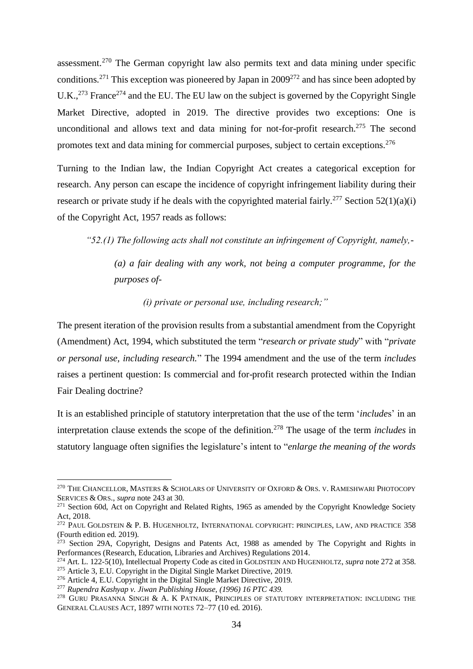assessment.<sup>270</sup> The German copyright law also permits text and data mining under specific conditions.<sup>271</sup> This exception was pioneered by Japan in  $2009^{272}$  and has since been adopted by U.K., $^{273}$  France<sup>274</sup> and the EU. The EU law on the subject is governed by the Copyright Single Market Directive, adopted in 2019. The directive provides two exceptions: One is unconditional and allows text and data mining for not-for-profit research.<sup>275</sup> The second promotes text and data mining for commercial purposes, subject to certain exceptions.<sup>276</sup>

Turning to the Indian law, the Indian Copyright Act creates a categorical exception for research. Any person can escape the incidence of copyright infringement liability during their research or private study if he deals with the copyrighted material fairly.<sup>277</sup> Section 52(1)(a)(i) of the Copyright Act, 1957 reads as follows:

*"52.(1) The following acts shall not constitute an infringement of Copyright, namely,-*

*(a) a fair dealing with any work, not being a computer programme, for the purposes of-*

*(i) private or personal use, including research;"*

The present iteration of the provision results from a substantial amendment from the Copyright (Amendment) Act, 1994, which substituted the term "*research or private study*" with "*private or personal use, including research.*" The 1994 amendment and the use of the term *includes*  raises a pertinent question: Is commercial and for-profit research protected within the Indian Fair Dealing doctrine?

It is an established principle of statutory interpretation that the use of the term '*include*s' in an interpretation clause extends the scope of the definition.<sup>278</sup> The usage of the term *includes* in statutory language often signifies the legislature's intent to "*enlarge the meaning of the words* 

 $^{270}$  The Chancellor, Masters & Scholars of University of Oxford & Ors. v. Rameshwari Photocopy SERVICES & ORS., *supra* note 243 at 30.

<sup>&</sup>lt;sup>271</sup> Section 60d, Act on Copyright and Related Rights, 1965 as amended by the Copyright Knowledge Society Act, 2018.

<sup>&</sup>lt;sup>272</sup> PAUL GOLDSTEIN & P. B. HUGENHOLTZ, INTERNATIONAL COPYRIGHT: PRINCIPLES, LAW, AND PRACTICE 358 (Fourth edition ed. 2019).

<sup>&</sup>lt;sup>273</sup> Section 29A, Copyright, Designs and Patents Act, 1988 as amended by The Copyright and Rights in [Performances \(Research, Education, Libraries and Archives\) Regulations 2014.](https://www.legislation.gov.uk/id/uksi/2014/1372)

<sup>274</sup> Art. L. 122-5(10), Intellectual Property Code as cited in GOLDSTEIN AND HUGENHOLTZ, *supra* note 272 at 358. <sup>275</sup> Article 3, E.U. Copyright in the Digital Single Market Directive, 2019.

<sup>276</sup> Article 4, E.U. Copyright in the Digital Single Market Directive, 2019.

<sup>277</sup> *Rupendra Kashyap v. Jiwan Publishing House, (1996) 16 PTC 439.*

<sup>&</sup>lt;sup>278</sup> GURU PRASANNA SINGH & A. K PATNAIK, PRINCIPLES OF STATUTORY INTERPRETATION: INCLUDING THE GENERAL CLAUSES ACT, 1897 WITH NOTES 72–77 (10 ed. 2016).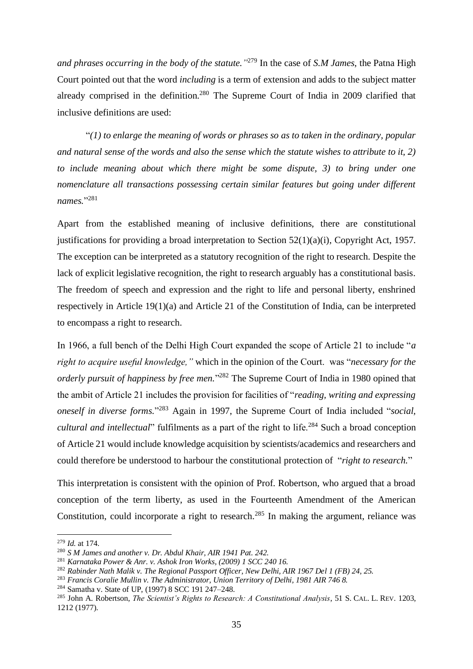*and phrases occurring in the body of the statute."* <sup>279</sup> In the case of *S.M James*, the Patna High Court pointed out that the word *including* is a term of extension and adds to the subject matter already comprised in the definition.<sup>280</sup> The Supreme Court of India in 2009 clarified that inclusive definitions are used:

"*(1) to enlarge the meaning of words or phrases so as to taken in the ordinary, popular and natural sense of the words and also the sense which the statute wishes to attribute to it, 2) to include meaning about which there might be some dispute, 3) to bring under one nomenclature all transactions possessing certain similar features but going under different names.*" 281

Apart from the established meaning of inclusive definitions, there are constitutional justifications for providing a broad interpretation to Section  $52(1)(a)(i)$ , Copyright Act, 1957. The exception can be interpreted as a statutory recognition of the right to research. Despite the lack of explicit legislative recognition, the right to research arguably has a constitutional basis. The freedom of speech and expression and the right to life and personal liberty, enshrined respectively in Article 19(1)(a) and Article 21 of the Constitution of India, can be interpreted to encompass a right to research.

In 1966, a full bench of the Delhi High Court expanded the scope of Article 21 to include "*a right to acquire useful knowledge,"* which in the opinion of the Court. was "*necessary for the* orderly pursuit of happiness by free men."<sup>282</sup> The Supreme Court of India in 1980 opined that the ambit of Article 21 includes the provision for facilities of "*reading, writing and expressing oneself in diverse forms.*" <sup>283</sup> Again in 1997, the Supreme Court of India included "*social, cultural and intellectual*" fulfilments as a part of the right to life.<sup>284</sup> Such a broad conception of Article 21 would include knowledge acquisition by scientists/academics and researchers and could therefore be understood to harbour the constitutional protection of "*right to research.*"

This interpretation is consistent with the opinion of Prof. Robertson, who argued that a broad conception of the term liberty, as used in the Fourteenth Amendment of the American Constitution, could incorporate a right to research.<sup>285</sup> In making the argument, reliance was

<sup>279</sup> *Id.* at 174.

<sup>280</sup> *S M James and another v. Dr. Abdul Khair, AIR 1941 Pat. 242.*

<sup>281</sup> *Karnataka Power & Anr. v. Ashok Iron Works, (2009) 1 SCC 240 16.*

<sup>282</sup> *Rabinder Nath Malik v. The Regional Passport Officer, New Delhi, AIR 1967 Del 1 (FB) 24, 25.*

<sup>283</sup> *Francis Coralie Mullin v. The Administrator, Union Territory of Delhi, 1981 AIR 746 8.*

<sup>284</sup> Samatha v. State of UP, (1997) 8 SCC 191 247–248.

<sup>285</sup> John A. Robertson, *The Scientist's Rights to Research: A Constitutional Analysis*, 51 S. CAL. L. REV. 1203, 1212 (1977).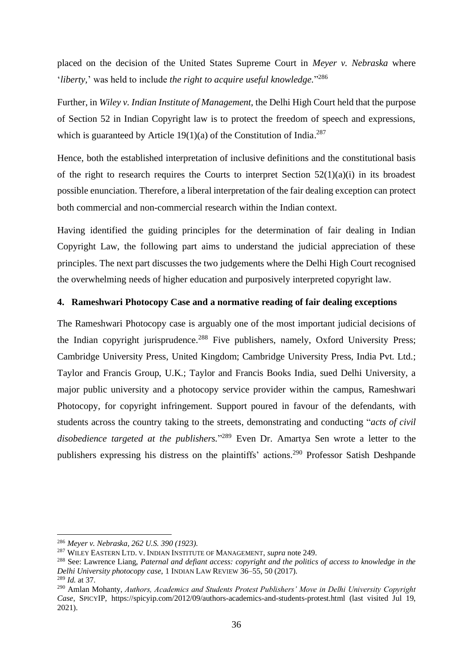placed on the decision of the United States Supreme Court in *Meyer v. Nebraska* where '*liberty,*' was held to include *the right to acquire useful knowledge.*" 286

Further, in *Wiley v. Indian Institute of Management,* the Delhi High Court held that the purpose of Section 52 in Indian Copyright law is to protect the freedom of speech and expressions, which is guaranteed by Article  $19(1)(a)$  of the Constitution of India.<sup>287</sup>

Hence, both the established interpretation of inclusive definitions and the constitutional basis of the right to research requires the Courts to interpret Section  $52(1)(a)(i)$  in its broadest possible enunciation. Therefore, a liberal interpretation of the fair dealing exception can protect both commercial and non-commercial research within the Indian context.

Having identified the guiding principles for the determination of fair dealing in Indian Copyright Law, the following part aims to understand the judicial appreciation of these principles. The next part discusses the two judgements where the Delhi High Court recognised the overwhelming needs of higher education and purposively interpreted copyright law.

#### <span id="page-37-0"></span>**4. Rameshwari Photocopy Case and a normative reading of fair dealing exceptions**

The Rameshwari Photocopy case is arguably one of the most important judicial decisions of the Indian copyright jurisprudence.<sup>288</sup> Five publishers, namely, Oxford University Press; Cambridge University Press, United Kingdom; Cambridge University Press, India Pvt. Ltd.; Taylor and Francis Group, U.K.; Taylor and Francis Books India, sued Delhi University, a major public university and a photocopy service provider within the campus, Rameshwari Photocopy, for copyright infringement. Support poured in favour of the defendants, with students across the country taking to the streets, demonstrating and conducting "*acts of civil disobedience targeted at the publishers.*" <sup>289</sup> Even Dr. Amartya Sen wrote a letter to the publishers expressing his distress on the plaintiffs' actions.<sup>290</sup> Professor Satish Deshpande

<sup>286</sup> *Meyer v. Nebraska, 262 U.S. 390 (1923).*

<sup>287</sup> WILEY EASTERN LTD. V. INDIAN INSTITUTE OF MANAGEMENT, *supra* note 249.

<sup>288</sup> See: Lawrence Liang, *Paternal and defiant access: copyright and the politics of access to knowledge in the Delhi University photocopy case*, 1 INDIAN LAW REVIEW 36–55, 50 (2017).

<sup>289</sup> *Id.* at 37.

<sup>290</sup> Amlan Mohanty, *Authors, Academics and Students Protest Publishers' Move in Delhi University Copyright Case*, SPICYIP, https://spicyip.com/2012/09/authors-academics-and-students-protest.html (last visited Jul 19, 2021).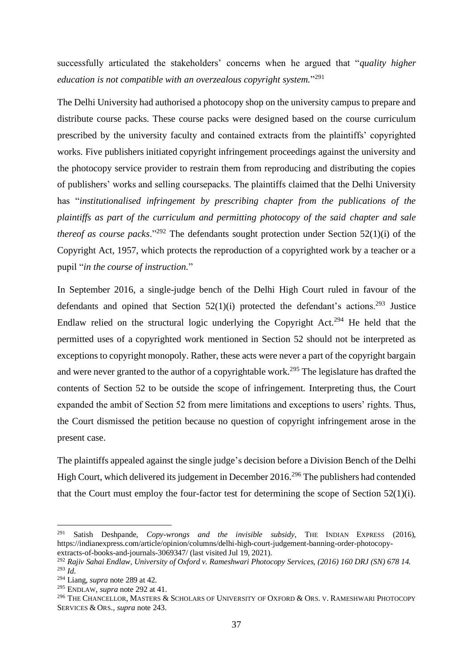successfully articulated the stakeholders' concerns when he argued that "*quality higher education is not compatible with an overzealous copyright system.*" 291

The Delhi University had authorised a photocopy shop on the university campus to prepare and distribute course packs. These course packs were designed based on the course curriculum prescribed by the university faculty and contained extracts from the plaintiffs' copyrighted works. Five publishers initiated copyright infringement proceedings against the university and the photocopy service provider to restrain them from reproducing and distributing the copies of publishers' works and selling coursepacks. The plaintiffs claimed that the Delhi University has "*institutionalised infringement by prescribing chapter from the publications of the plaintiffs as part of the curriculum and permitting photocopy of the said chapter and sale thereof as course packs.*"<sup>292</sup> The defendants sought protection under Section 52(1)(i) of the Copyright Act, 1957, which protects the reproduction of a copyrighted work by a teacher or a pupil "*in the course of instruction.*"

In September 2016, a single-judge bench of the Delhi High Court ruled in favour of the defendants and opined that Section  $52(1)(i)$  protected the defendant's actions.<sup>293</sup> Justice Endlaw relied on the structural logic underlying the Copyright Act.<sup>294</sup> He held that the permitted uses of a copyrighted work mentioned in Section 52 should not be interpreted as exceptions to copyright monopoly. Rather, these acts were never a part of the copyright bargain and were never granted to the author of a copyrightable work.<sup>295</sup> The legislature has drafted the contents of Section 52 to be outside the scope of infringement. Interpreting thus, the Court expanded the ambit of Section 52 from mere limitations and exceptions to users' rights. Thus, the Court dismissed the petition because no question of copyright infringement arose in the present case.

The plaintiffs appealed against the single judge's decision before a Division Bench of the Delhi High Court, which delivered its judgement in December 2016.<sup>296</sup> The publishers had contended that the Court must employ the four-factor test for determining the scope of Section 52(1)(i).

<sup>291</sup> Satish Deshpande, *Copy-wrongs and the invisible subsidy*, THE INDIAN EXPRESS (2016), https://indianexpress.com/article/opinion/columns/delhi-high-court-judgement-banning-order-photocopyextracts-of-books-and-journals-3069347/ (last visited Jul 19, 2021).

<sup>292</sup> *Rajiv Sahai Endlaw, University of Oxford v. Rameshwari Photocopy Services, (2016) 160 DRJ (SN) 678 14.* <sup>293</sup> *Id*.

<sup>294</sup> Liang, *supra* note 289 at 42.

<sup>295</sup> ENDLAW, *supra* note 292 at 41.

<sup>&</sup>lt;sup>296</sup> THE CHANCELLOR, MASTERS & SCHOLARS OF UNIVERSITY OF OXFORD & ORS. V. RAMESHWARI PHOTOCOPY SERVICES & ORS., *supra* note 243.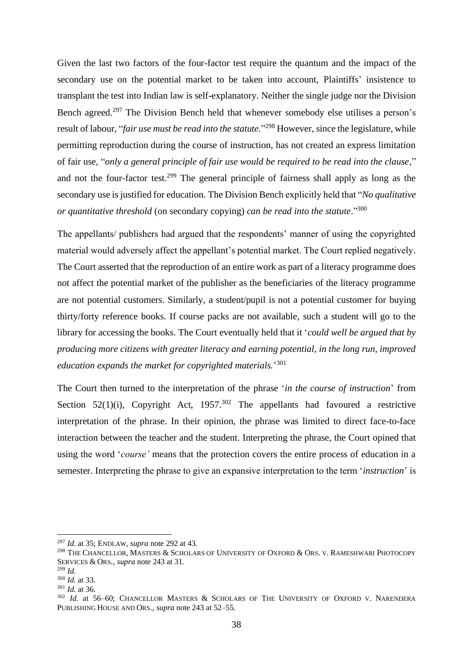Given the last two factors of the four-factor test require the quantum and the impact of the secondary use on the potential market to be taken into account, Plaintiffs' insistence to transplant the test into Indian law is self-explanatory. Neither the single judge nor the Division Bench agreed.<sup>297</sup> The Division Bench held that whenever somebody else utilises a person's result of labour, "*fair use must be read into the statute.*" <sup>298</sup> However, since the legislature, while permitting reproduction during the course of instruction, has not created an express limitation of fair use, "*only a general principle of fair use would be required to be read into the clause*," and not the four-factor test.<sup>299</sup> The general principle of fairness shall apply as long as the secondary use is justified for education. The Division Bench explicitly held that "*No qualitative or quantitative threshold* (on secondary copying) *can be read into the statute*." 300

The appellants/ publishers had argued that the respondents' manner of using the copyrighted material would adversely affect the appellant's potential market. The Court replied negatively. The Court asserted that the reproduction of an entire work as part of a literacy programme does not affect the potential market of the publisher as the beneficiaries of the literacy programme are not potential customers. Similarly, a student/pupil is not a potential customer for buying thirty/forty reference books. If course packs are not available, such a student will go to the library for accessing the books. The Court eventually held that it '*could well be argued that by producing more citizens with greater literacy and earning potential, in the long run, improved education expands the market for copyrighted materials.*' 301

The Court then turned to the interpretation of the phrase '*in the course of instruction*' from Section 52(1)(i), Copyright Act,  $1957^{302}$  The appellants had favoured a restrictive interpretation of the phrase. In their opinion, the phrase was limited to direct face-to-face interaction between the teacher and the student. Interpreting the phrase, the Court opined that using the word '*course'* means that the protection covers the entire process of education in a semester. Interpreting the phrase to give an expansive interpretation to the term '*instruction*' is

<sup>297</sup> *Id.* at 35; ENDLAW, *supra* note 292 at 43.

<sup>298</sup> THE CHANCELLOR, MASTERS & SCHOLARS OF UNIVERSITY OF OXFORD & ORS. V. RAMESHWARI PHOTOCOPY SERVICES & ORS., *supra* note 243 at 31.

<sup>299</sup> *Id.*

<sup>300</sup> *Id.* at 33.

<sup>301</sup> *Id.* at 36.

<sup>302</sup> *Id.* at 56–60; CHANCELLOR MASTERS & SCHOLARS OF THE UNIVERSITY OF OXFORD V. NARENDERA PUBLISHING HOUSE AND ORS., *supra* note 243 at 52–55.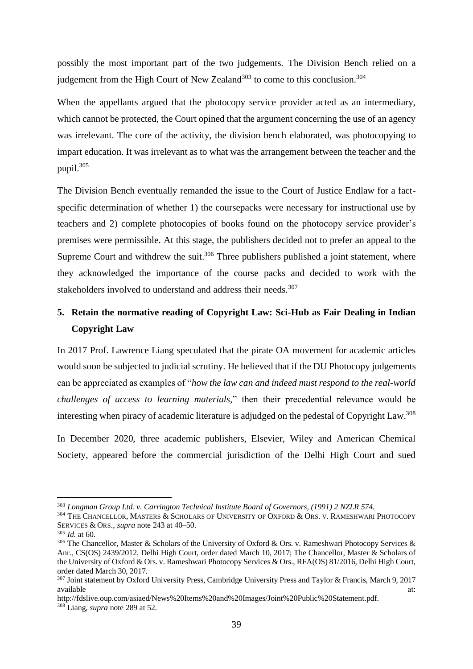possibly the most important part of the two judgements. The Division Bench relied on a judgement from the High Court of New Zealand<sup>303</sup> to come to this conclusion.<sup>304</sup>

When the appellants argued that the photocopy service provider acted as an intermediary, which cannot be protected, the Court opined that the argument concerning the use of an agency was irrelevant. The core of the activity, the division bench elaborated, was photocopying to impart education. It was irrelevant as to what was the arrangement between the teacher and the pupil.<sup>305</sup>

The Division Bench eventually remanded the issue to the Court of Justice Endlaw for a factspecific determination of whether 1) the coursepacks were necessary for instructional use by teachers and 2) complete photocopies of books found on the photocopy service provider's premises were permissible. At this stage, the publishers decided not to prefer an appeal to the Supreme Court and withdrew the suit.<sup>306</sup> Three publishers published a joint statement, where they acknowledged the importance of the course packs and decided to work with the stakeholders involved to understand and address their needs.<sup>307</sup>

### <span id="page-40-0"></span>**5. Retain the normative reading of Copyright Law: Sci-Hub as Fair Dealing in Indian Copyright Law**

In 2017 Prof. Lawrence Liang speculated that the pirate OA movement for academic articles would soon be subjected to judicial scrutiny. He believed that if the DU Photocopy judgements can be appreciated as examples of "*how the law can and indeed must respond to the real-world challenges of access to learning materials,*" then their precedential relevance would be interesting when piracy of academic literature is adjudged on the pedestal of Copyright Law.<sup>308</sup>

In December 2020, three academic publishers, Elsevier, Wiley and American Chemical Society, appeared before the commercial jurisdiction of the Delhi High Court and sued

[http://fdslive.oup.com/asiaed/News%20Items%20and%20Images/Joint%20Public%20Statement.pdf.](http://fdslive.oup.com/asiaed/News%20Items%20and%20Images/Joint%20Public%20Statement.pdf) <sup>308</sup> Liang, *supra* note 289 at 52.

<sup>303</sup> *Longman Group Ltd. v. Carrington Technical Institute Board of Governors, (1991) 2 NZLR 574.*

<sup>&</sup>lt;sup>304</sup> THE CHANCELLOR, MASTERS & SCHOLARS OF UNIVERSITY OF OXFORD & ORS. V. RAMESHWARI PHOTOCOPY SERVICES & ORS., *supra* note 243 at 40–50.

<sup>305</sup> *Id.* at 60.

<sup>&</sup>lt;sup>306</sup> The Chancellor, Master & Scholars of the University of Oxford & Ors. v. Rameshwari Photocopy Services & Anr., CS(OS) 2439/2012, Delhi High Court, order dated March 10, 2017; The Chancellor, Master & Scholars of the University of Oxford & Ors. v. Rameshwari Photocopy Services & Ors., RFA(OS) 81/2016, Delhi High Court, order dated March 30, 2017.

<sup>307</sup> Joint statement by Oxford University Press, Cambridge University Press and Taylor & Francis, March 9, 2017 available at:  $\overline{a}$  at:  $\overline{a}$  available at:  $\overline{a}$  at:  $\overline{a}$  at:  $\overline{a}$  at:  $\overline{a}$  at:  $\overline{a}$  at:  $\overline{a}$  at:  $\overline{a}$  at:  $\overline{a}$  at:  $\overline{a}$  at:  $\overline{a}$  at:  $\overline{a}$  at:  $\overline{a}$  at:  $\overline{a}$  at:  $\over$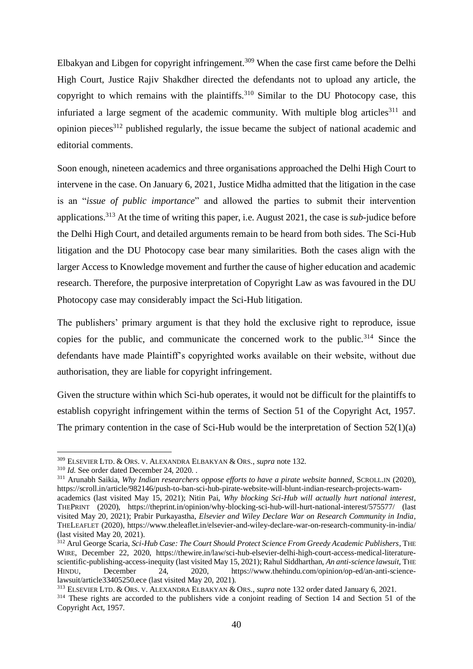Elbakyan and Libgen for copyright infringement.<sup>309</sup> When the case first came before the Delhi High Court, Justice Rajiv Shakdher directed the defendants not to upload any article, the copyright to which remains with the plaintiffs.<sup>310</sup> Similar to the DU Photocopy case, this infuriated a large segment of the academic community. With multiple blog articles $311$  and opinion pieces<sup>312</sup> published regularly, the issue became the subject of national academic and editorial comments.

Soon enough, nineteen academics and three organisations approached the Delhi High Court to intervene in the case. On January 6, 2021, Justice Midha admitted that the litigation in the case is an "*issue of public importance*" and allowed the parties to submit their intervention applications.<sup>313</sup> At the time of writing this paper, i.e. August 2021, the case is *sub-*judice before the Delhi High Court, and detailed arguments remain to be heard from both sides. The Sci-Hub litigation and the DU Photocopy case bear many similarities. Both the cases align with the larger Access to Knowledge movement and further the cause of higher education and academic research. Therefore, the purposive interpretation of Copyright Law as was favoured in the DU Photocopy case may considerably impact the Sci-Hub litigation.

The publishers' primary argument is that they hold the exclusive right to reproduce, issue copies for the public, and communicate the concerned work to the public.<sup>314</sup> Since the defendants have made Plaintiff's copyrighted works available on their website, without due authorisation, they are liable for copyright infringement.

Given the structure within which Sci-hub operates, it would not be difficult for the plaintiffs to establish copyright infringement within the terms of Section 51 of the Copyright Act, 1957. The primary contention in the case of Sci-Hub would be the interpretation of Section 52(1)(a)

<sup>313</sup> ELSEVIER LTD. & ORS. V. ALEXANDRA ELBAKYAN & ORS., *supra* note 132 order dated January 6, 2021.

<sup>309</sup> ELSEVIER LTD. & ORS. V. ALEXANDRA ELBAKYAN & ORS., *supra* note 132.

<sup>310</sup> *Id.* See order dated December 24, 2020. .

<sup>311</sup> Arunabh Saikia, *Why Indian researchers oppose efforts to have a pirate website banned*, SCROLL.IN (2020), https://scroll.in/article/982146/push-to-ban-sci-hub-pirate-website-will-blunt-indian-research-projects-warn-

academics (last visited May 15, 2021); Nitin Pai, *Why blocking Sci-Hub will actually hurt national interest*, THEPRINT (2020), https://theprint.in/opinion/why-blocking-sci-hub-will-hurt-national-interest/575577/ (last visited May 20, 2021); Prabir Purkayastha, *Elsevier and Wiley Declare War on Research Community in India*, THELEAFLET (2020), https://www.theleaflet.in/elsevier-and-wiley-declare-war-on-research-community-in-india/ (last visited May 20, 2021).

<sup>312</sup> Arul George Scaria, *Sci-Hub Case: The Court Should Protect Science From Greedy Academic Publishers*, THE WIRE, December 22, 2020, https://thewire.in/law/sci-hub-elsevier-delhi-high-court-access-medical-literaturescientific-publishing-access-inequity (last visited May 15, 2021); Rahul Siddharthan, *An anti-science lawsuit*, THE HINDU, December 24, 2020, https://www.thehindu.com/opinion/op-ed/an-anti-sciencelawsuit/article33405250.ece (last visited May 20, 2021).

<sup>&</sup>lt;sup>314</sup> These rights are accorded to the publishers vide a conjoint reading of Section 14 and Section 51 of the Copyright Act, 1957.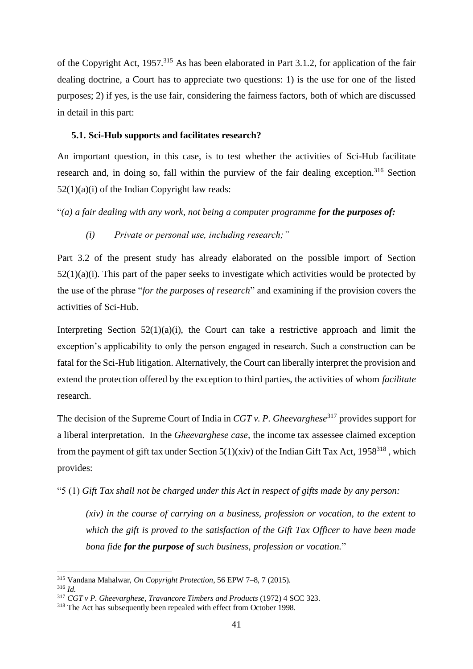of the Copyright Act, 1957.<sup>315</sup> As has been elaborated in Part 3.1.2, for application of the fair dealing doctrine, a Court has to appreciate two questions: 1) is the use for one of the listed purposes; 2) if yes, is the use fair, considering the fairness factors, both of which are discussed in detail in this part:

#### <span id="page-42-0"></span>**5.1. Sci-Hub supports and facilitates research?**

An important question, in this case, is to test whether the activities of Sci-Hub facilitate research and, in doing so, fall within the purview of the fair dealing exception.<sup>316</sup> Section  $52(1)(a)(i)$  of the Indian Copyright law reads:

"(a) a fair dealing with any work, not being a computer programme for the purposes of:

#### *(i) Private or personal use, including research;"*

Part 3.2 of the present study has already elaborated on the possible import of Section  $52(1)(a)(i)$ . This part of the paper seeks to investigate which activities would be protected by the use of the phrase "*for the purposes of research*" and examining if the provision covers the activities of Sci-Hub.

Interpreting Section  $52(1)(a)(i)$ , the Court can take a restrictive approach and limit the exception's applicability to only the person engaged in research. Such a construction can be fatal for the Sci-Hub litigation. Alternatively, the Court can liberally interpret the provision and extend the protection offered by the exception to third parties, the activities of whom *facilitate*  research.

The decision of the Supreme Court of India in *CGT v. P. Gheevarghese*<sup>317</sup> provides support for a liberal interpretation. In the *Gheevarghese case,* the income tax assessee claimed exception from the payment of gift tax under Section  $5(1)(\dot{x}iv)$  of the Indian Gift Tax Act, 1958<sup>318</sup>, which provides:

"5 (1) *Gift Tax shall not be charged under this Act in respect of gifts made by any person:*

*(xiv) in the course of carrying on a business, profession or vocation, to the extent to which the gift is proved to the satisfaction of the Gift Tax Officer to have been made bona fide for the purpose of such business, profession or vocation.*"

<sup>315</sup> Vandana Mahalwar, *On Copyright Protection*, 56 EPW 7–8, 7 (2015).

<sup>316</sup> *Id.*

<sup>317</sup> *CGT v P. Gheevarghese, Travancore Timbers and Products* (1972) 4 SCC 323.

<sup>&</sup>lt;sup>318</sup> The Act has subsequently been repealed with effect from October 1998.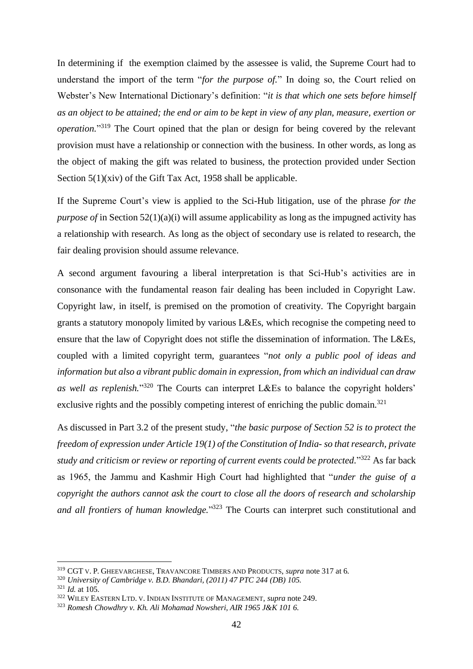In determining if the exemption claimed by the assessee is valid, the Supreme Court had to understand the import of the term "*for the purpose of.*" In doing so, the Court relied on Webster's New International Dictionary's definition: "*it is that which one sets before himself as an object to be attained; the end or aim to be kept in view of any plan, measure, exertion or operation.*" <sup>319</sup> The Court opined that the plan or design for being covered by the relevant provision must have a relationship or connection with the business. In other words, as long as the object of making the gift was related to business, the protection provided under Section Section 5(1)(xiv) of the Gift Tax Act, 1958 shall be applicable.

If the Supreme Court's view is applied to the Sci-Hub litigation, use of the phrase *for the purpose of* in Section 52(1)(a)(i) will assume applicability as long as the impugned activity has a relationship with research. As long as the object of secondary use is related to research, the fair dealing provision should assume relevance.

A second argument favouring a liberal interpretation is that Sci-Hub's activities are in consonance with the fundamental reason fair dealing has been included in Copyright Law. Copyright law, in itself, is premised on the promotion of creativity. The Copyright bargain grants a statutory monopoly limited by various L&Es, which recognise the competing need to ensure that the law of Copyright does not stifle the dissemination of information. The L&Es, coupled with a limited copyright term, guarantees "*not only a public pool of ideas and information but also a vibrant public domain in expression, from which an individual can draw as well as replenish.*" <sup>320</sup> The Courts can interpret L&Es to balance the copyright holders' exclusive rights and the possibly competing interest of enriching the public domain.<sup>321</sup>

As discussed in Part 3.2 of the present study, "*the basic purpose of Section 52 is to protect the freedom of expression under Article 19(1) of the Constitution of India- so that research, private study and criticism or review or reporting of current events could be protected.*" <sup>322</sup> As far back as 1965, the Jammu and Kashmir High Court had highlighted that "*under the guise of a copyright the authors cannot ask the court to close all the doors of research and scholarship and all frontiers of human knowledge.*" <sup>323</sup> The Courts can interpret such constitutional and

<sup>319</sup> CGT V. P. GHEEVARGHESE, TRAVANCORE TIMBERS AND PRODUCTS, *supra* note 317 at 6.

<sup>320</sup> *University of Cambridge v. B.D. Bhandari, (2011) 47 PTC 244 (DB) 105.*

<sup>321</sup> *Id.* at 105.

<sup>322</sup> WILEY EASTERN LTD. V. INDIAN INSTITUTE OF MANAGEMENT, *supra* note 249.

<sup>323</sup> *Romesh Chowdhry v. Kh. Ali Mohamad Nowsheri, AIR 1965 J&K 101 6.*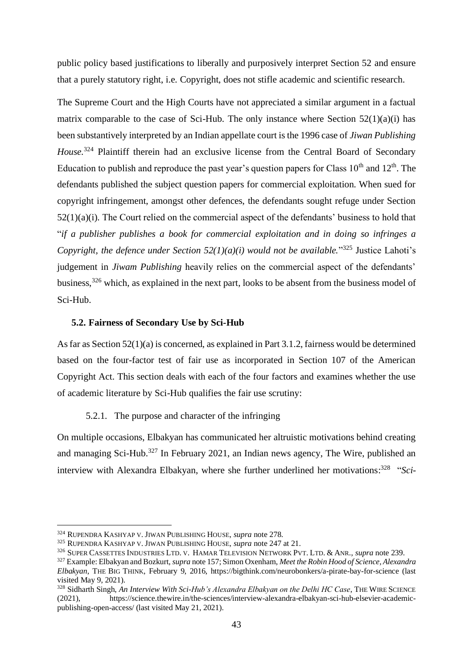public policy based justifications to liberally and purposively interpret Section 52 and ensure that a purely statutory right, i.e. Copyright, does not stifle academic and scientific research.

The Supreme Court and the High Courts have not appreciated a similar argument in a factual matrix comparable to the case of Sci-Hub. The only instance where Section  $52(1)(a)(i)$  has been substantively interpreted by an Indian appellate court is the 1996 case of *Jiwan Publishing House.*<sup>324</sup> Plaintiff therein had an exclusive license from the Central Board of Secondary Education to publish and reproduce the past year's question papers for Class  $10<sup>th</sup>$  and  $12<sup>th</sup>$ . The defendants published the subject question papers for commercial exploitation. When sued for copyright infringement, amongst other defences, the defendants sought refuge under Section  $52(1)(a)(i)$ . The Court relied on the commercial aspect of the defendants' business to hold that "*if a publisher publishes a book for commercial exploitation and in doing so infringes a*  Copyright, the defence under Section  $52(1)(a)(i)$  would not be available.<sup>3325</sup> Justice Lahoti's judgement in *Jiwam Publishing* heavily relies on the commercial aspect of the defendants' business,<sup>326</sup> which, as explained in the next part, looks to be absent from the business model of Sci-Hub.

#### <span id="page-44-0"></span>**5.2. Fairness of Secondary Use by Sci-Hub**

As far as Section 52(1)(a) is concerned, as explained in Part 3.1.2, fairness would be determined based on the four-factor test of fair use as incorporated in Section 107 of the American Copyright Act. This section deals with each of the four factors and examines whether the use of academic literature by Sci-Hub qualifies the fair use scrutiny:

#### 5.2.1. The purpose and character of the infringing

<span id="page-44-1"></span>On multiple occasions, Elbakyan has communicated her altruistic motivations behind creating and managing Sci-Hub.<sup>327</sup> In February 2021, an Indian news agency, The Wire, published an interview with Alexandra Elbakyan, where she further underlined her motivations: 328 "*Sci-*

<sup>324</sup> RUPENDRA KASHYAP V. JIWAN PUBLISHING HOUSE, *supra* note 278.

<sup>325</sup> RUPENDRA KASHYAP V. JIWAN PUBLISHING HOUSE, *supra* note 247 at 21.

<sup>326</sup> SUPER CASSETTES INDUSTRIES LTD. V. HAMAR TELEVISION NETWORK PVT. LTD. & ANR., *supra* note 239.

<sup>327</sup> Example: Elbakyan and Bozkurt, *supra* note 157; Simon Oxenham, *Meet the Robin Hood of Science, Alexandra Elbakyan*, THE BIG THINK, February 9, 2016, https://bigthink.com/neurobonkers/a-pirate-bay-for-science (last visited May 9, 2021).

<sup>328</sup> Sidharth Singh, *An Interview With Sci-Hub's Alexandra Elbakyan on the Delhi HC Case*, THE WIRE SCIENCE (2021), https://science.thewire.in/the-sciences/interview-alexandra-elbakyan-sci-hub-elsevier-academicpublishing-open-access/ (last visited May 21, 2021).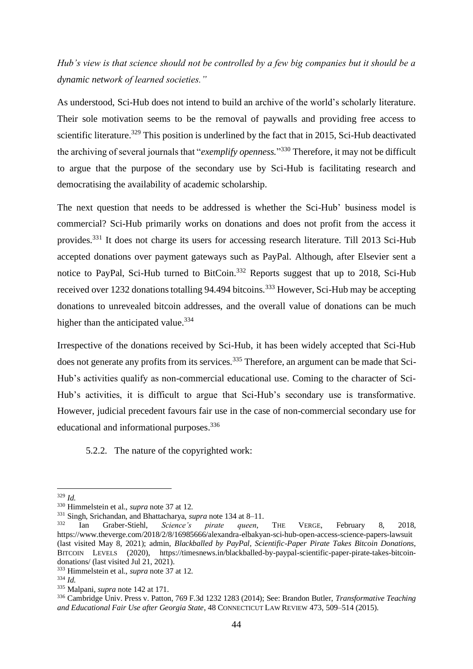*Hub's view is that science should not be controlled by a few big companies but it should be a dynamic network of learned societies."*

As understood, Sci-Hub does not intend to build an archive of the world's scholarly literature. Their sole motivation seems to be the removal of paywalls and providing free access to scientific literature.<sup>329</sup> This position is underlined by the fact that in 2015, Sci-Hub deactivated the archiving of several journals that "*exemplify openness.*" <sup>330</sup> Therefore, it may not be difficult to argue that the purpose of the secondary use by Sci-Hub is facilitating research and democratising the availability of academic scholarship.

The next question that needs to be addressed is whether the Sci-Hub' business model is commercial? Sci-Hub primarily works on donations and does not profit from the access it provides.<sup>331</sup> It does not charge its users for accessing research literature. Till 2013 Sci-Hub accepted donations over payment gateways such as PayPal. Although, after Elsevier sent a notice to PayPal, Sci-Hub turned to BitCoin.<sup>332</sup> Reports suggest that up to 2018, Sci-Hub received over 1232 donations totalling 94.494 bitcoins.<sup>333</sup> However, Sci-Hub may be accepting donations to unrevealed bitcoin addresses, and the overall value of donations can be much higher than the anticipated value.<sup>334</sup>

Irrespective of the donations received by Sci-Hub, it has been widely accepted that Sci-Hub does not generate any profits from its services.<sup>335</sup> Therefore, an argument can be made that Sci-Hub's activities qualify as non-commercial educational use. Coming to the character of Sci-Hub's activities, it is difficult to argue that Sci-Hub's secondary use is transformative. However, judicial precedent favours fair use in the case of non-commercial secondary use for educational and informational purposes.<sup>336</sup>

<span id="page-45-0"></span>5.2.2. The nature of the copyrighted work:

<sup>329</sup> *Id.*

<sup>330</sup> Himmelstein et al., *supra* note 37 at 12.

<sup>&</sup>lt;sup>331</sup> Singh, Srichandan, and Bhattacharya, *supra* note 134 at 8–11.<br><sup>332</sup> Ian Graber-Stiehl. *Science's pirate queen*.

<sup>332</sup> Ian Graber-Stiehl, *Science's pirate queen*, THE VERGE, February 8, 2018, https://www.theverge.com/2018/2/8/16985666/alexandra-elbakyan-sci-hub-open-access-science-papers-lawsuit (last visited May 8, 2021); admin, *Blackballed by PayPal, Scientific-Paper Pirate Takes Bitcoin Donations*, BITCOIN LEVELS (2020), https://timesnews.in/blackballed-by-paypal-scientific-paper-pirate-takes-bitcoindonations/ (last visited Jul 21, 2021).

<sup>333</sup> Himmelstein et al., *supra* note 37 at 12.

<sup>334</sup> *Id.*

<sup>335</sup> Malpani, *supra* note 142 at 171.

<sup>336</sup> Cambridge Univ. Press v. Patton, 769 F.3d 1232 1283 (2014); See: Brandon Butler, *Transformative Teaching and Educational Fair Use after Georgia State*, 48 CONNECTICUT LAW REVIEW 473, 509–514 (2015).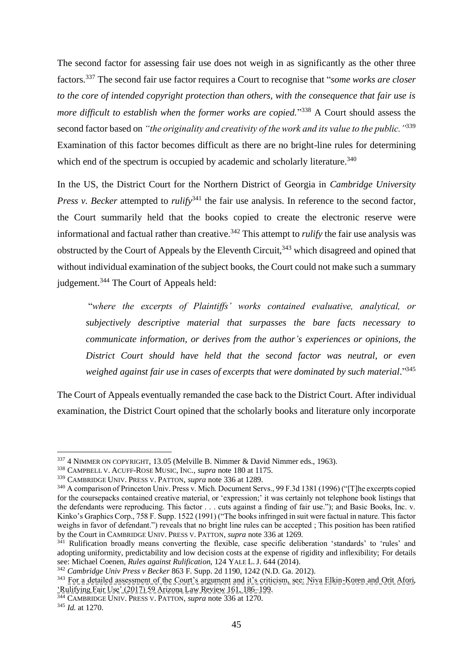The second factor for assessing fair use does not weigh in as significantly as the other three factors.<sup>337</sup> The second fair use factor requires a Court to recognise that "*some works are closer to the core of intended copyright protection than others, with the consequence that fair use is*  more difficult to establish when the former works are copied."<sup>338</sup> A Court should assess the second factor based on *"the originality and creativity of the work and its value to the public."*<sup>339</sup> Examination of this factor becomes difficult as there are no bright-line rules for determining which end of the spectrum is occupied by academic and scholarly literature.<sup>340</sup>

In the US, the District Court for the Northern District of Georgia in *Cambridge University Press v. Becker* attempted to *rulify*<sup>341</sup> the fair use analysis. In reference to the second factor, the Court summarily held that the books copied to create the electronic reserve were informational and factual rather than creative.<sup>342</sup> This attempt to *rulify* the fair use analysis was obstructed by the Court of Appeals by the Eleventh Circuit,<sup>343</sup> which disagreed and opined that without individual examination of the subject books, the Court could not make such a summary judgement.<sup>344</sup> The Court of Appeals held:

"*where the excerpts of Plaintiffs' works contained evaluative, analytical, or subjectively descriptive material that surpasses the bare facts necessary to communicate information, or derives from the author's experiences or opinions, the District Court should have held that the second factor was neutral, or even weighed [a](https://advance.lexis.com/document/documentlink/?pdmfid=1516831&crid=af4c72a9-5f8f-44b4-bb77-8c52c458d943&pddocfullpath=%2Fshared%2Fdocument%2Fcases%2Furn%3AcontentItem%3A5KKT-WSP1-F04D-21JG-00000-00&pdcontentcomponentid=6421&pddoctitle=Cambridge+Univ.+Press+v.+Becker%2C+2016+U.S.+Dist.+LEXIS+118793+(N.D.+Ga.%2C+Mar.+31%2C+2016)&pdproductcontenttypeid=urn%3Apct%3A30&pdiskwicview=false&ecomp=Jswvk&prid=c8e04865-3745-4ce4-b247-c008b5ec663a)gainst fair use in cases of excerpts that were dominated by such material*." 345

The Court of Appeals eventually remanded the case back to the District Court. After individual examination, the District Court opined that the scholarly books and literature only incorporate

<sup>337</sup> 4 NIMMER ON COPYRIGHT, 13.05 (Melville B. Nimmer & David Nimmer eds., 1963).

<sup>338</sup> CAMPBELL V. ACUFF-ROSE MUSIC, INC., *supra* note 180 at 1175.

<sup>339</sup> CAMBRIDGE UNIV. PRESS V. PATTON, *supra* note 336 at 1289.

<sup>&</sup>lt;sup>340</sup> A comparison of Princeton Univ. Press v. Mich. Document Servs., 99 F.3d 1381 (1996) ("[T]he excerpts copied for the coursepacks contained creative material, or 'expression;' it was certainly not telephone book listings that the defendants were reproducing. This factor . . . cuts against a finding of fair use."); and Basic Books, Inc. v. Kinko's Graphics Corp., 758 F. Supp. 1522 (1991) ("The books infringed in suit were factual in nature. This factor weighs in favor of defendant.") reveals that no bright line rules can be accepted ; This position has been ratified by the Court in CAMBRIDGE UNIV. PRESS V. PATTON, *supra* note 336 at 1269.

<sup>&</sup>lt;sup>341</sup> Rulification broadly means converting the flexible, case specific deliberation 'standards' to 'rules' and adopting uniformity, predictability and low decision costs at the expense of rigidity and inflexibility; For details see: Michael Coenen, *Rules against Rulification*, 124 YALE L.J. 644 (2014).

<sup>342</sup> *Cambridge Univ Press v Becker* 863 F. Supp. 2d 1190, 1242 (N.D. Ga. 2012).

<sup>&</sup>lt;sup>343</sup> For a detailed assessment of the Court's argument and it's criticism, see: Niva Elkin-Koren and Orit Afori, 'Rulifying Fair Use' (2017) 59 Arizona Law Review 161, 186–199.

<sup>344</sup> CAMBRIDGE UNIV. PRESS V. PATTON, *supra* note 336 at 1270.

<sup>345</sup> *Id.* at 1270.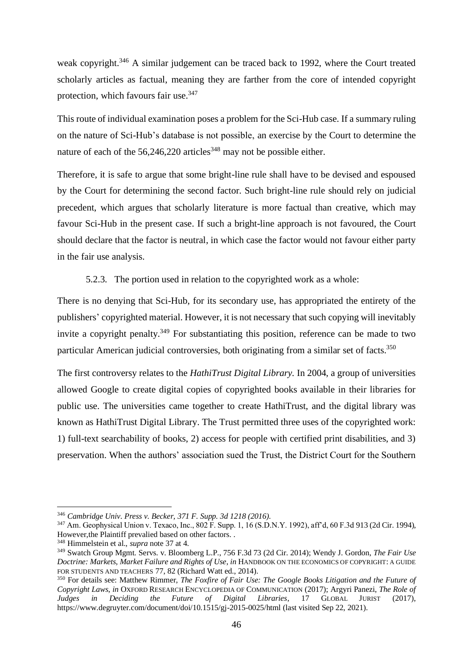weak copyright.<sup>346</sup> A similar judgement can be traced back to 1992, where the Court treated scholarly articles as factual, meaning they are farther from the core of intended copyright protection, which favours fair use.<sup>347</sup>

This route of individual examination poses a problem for the Sci-Hub case. If a summary ruling on the nature of Sci-Hub's database is not possible, an exercise by the Court to determine the nature of each of the  $56,246,220$  articles<sup>348</sup> may not be possible either.

Therefore, it is safe to argue that some bright-line rule shall have to be devised and espoused by the Court for determining the second factor. Such bright-line rule should rely on judicial precedent, which argues that scholarly literature is more factual than creative, which may favour Sci-Hub in the present case. If such a bright-line approach is not favoured, the Court should declare that the factor is neutral, in which case the factor would not favour either party in the fair use analysis.

5.2.3. The portion used in relation to the copyrighted work as a whole:

<span id="page-47-0"></span>There is no denying that Sci-Hub, for its secondary use, has appropriated the entirety of the publishers' copyrighted material. However, it is not necessary that such copying will inevitably invite a copyright penalty.<sup>349</sup> For substantiating this position, reference can be made to two particular American judicial controversies, both originating from a similar set of facts.<sup>350</sup>

The first controversy relates to the *HathiTrust Digital Library.* In 2004, a group of universities allowed Google to create digital copies of copyrighted books available in their libraries for public use. The universities came together to create HathiTrust, and the digital library was known as HathiTrust Digital Library. The Trust permitted three uses of the copyrighted work: 1) full-text searchability of books, 2) access for people with certified print disabilities, and 3) preservation. When the authors' association sued the Trust, the District Court for the Southern

<sup>346</sup> *Cambridge Univ. Press v. Becker, 371 F. Supp. 3d 1218 (2016).*

<sup>347</sup> Am. Geophysical Union v. Texaco, Inc., 802 F. Supp. 1, 16 (S.D.N.Y. 1992), aff'd, 60 F.3d 913 (2d Cir. 1994), However, the Plaintiff prevalied based on other factors. .

<sup>348</sup> Himmelstein et al., *supra* note 37 at 4.

<sup>349</sup> Swatch Group Mgmt. Servs. v. Bloomberg L.P., 756 F.3d 73 (2d Cir. 2014); Wendy J. Gordon, *The Fair Use Doctrine: Markets, Market Failure and Rights of Use*, *in* HANDBOOK ON THE ECONOMICS OF COPYRIGHT: A GUIDE FOR STUDENTS AND TEACHERS 77, 82 (Richard Watt ed., 2014).

<sup>350</sup> For details see: Matthew Rimmer, *The Foxfire of Fair Use: The Google Books Litigation and the Future of Copyright Laws*, *in* OXFORD RESEARCH ENCYCLOPEDIA OF COMMUNICATION (2017); Argyri Panezi, *The Role of Judges in Deciding the Future of Digital Libraries*, 17 GLOBAL JURIST (2017), https://www.degruyter.com/document/doi/10.1515/gj-2015-0025/html (last visited Sep 22, 2021).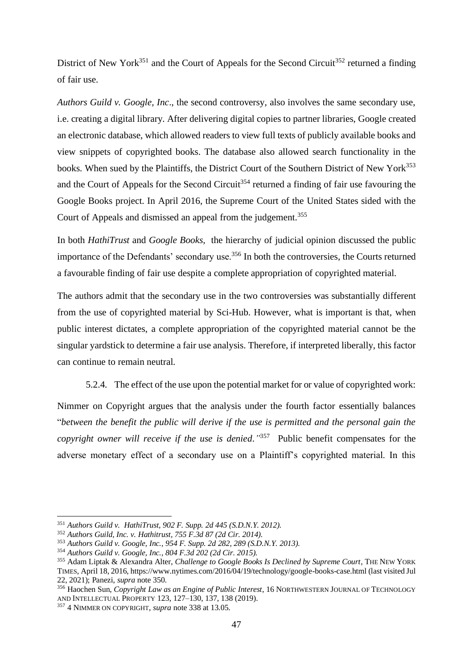District of New York<sup>351</sup> and the Court of Appeals for the Second Circuit<sup>352</sup> returned a finding of fair use.

*Authors Guild v. Google, Inc*., the second controversy, also involves the same secondary use, i.e. creating a digital library. After delivering digital copies to partner libraries, Google created an electronic database, which allowed readers to view full texts of publicly available books and view snippets of copyrighted books. The database also allowed search functionality in the books. When sued by the Plaintiffs, the District Court of the Southern District of New York<sup>353</sup> and the Court of Appeals for the Second Circuit<sup>354</sup> returned a finding of fair use favouring the Google Books project. In April 2016, the Supreme Court of the United States sided with the Court of Appeals and dismissed an appeal from the judgement.<sup>355</sup>

In both *HathiTrust* and *Google Books,* the hierarchy of judicial opinion discussed the public importance of the Defendants' secondary use.<sup>356</sup> In both the controversies, the Courts returned a favourable finding of fair use despite a complete appropriation of copyrighted material.

The authors admit that the secondary use in the two controversies was substantially different from the use of copyrighted material by Sci-Hub. However, what is important is that, when public interest dictates, a complete appropriation of the copyrighted material cannot be the singular yardstick to determine a fair use analysis. Therefore, if interpreted liberally, this factor can continue to remain neutral.

5.2.4. The effect of the use upon the potential market for or value of copyrighted work:

<span id="page-48-0"></span>Nimmer on Copyright argues that the analysis under the fourth factor essentially balances "*between the benefit the public will derive if the use is permitted and the personal gain the copyright owner will receive if the use is denied."* <sup>357</sup> Public benefit compensates for the adverse monetary effect of a secondary use on a Plaintiff's copyrighted material. In this

<sup>351</sup> *Authors Guild v. HathiTrust, 902 F. Supp. 2d 445 (S.D.N.Y. 2012).*

<sup>352</sup> *Authors Guild, Inc. v. Hathitrust, 755 F.3d 87 (2d Cir. 2014).*

<sup>353</sup> *Authors Guild v. Google, Inc., 954 F. Supp. 2d 282, 289 (S.D.N.Y. 2013).*

<sup>354</sup> *Authors Guild v. Google, Inc., 804 F.3d 202 (2d Cir. 2015).*

<sup>355</sup> Adam Liptak & Alexandra Alter, *Challenge to Google Books Is Declined by Supreme Court*, THE NEW YORK TIMES, April 18, 2016, https://www.nytimes.com/2016/04/19/technology/google-books-case.html (last visited Jul 22, 2021); Panezi, *supra* note 350.

<sup>356</sup> Haochen Sun, *Copyright Law as an Engine of Public Interest*, 16 NORTHWESTERN JOURNAL OF TECHNOLOGY AND INTELLECTUAL PROPERTY 123, 127–130, 137, 138 (2019).

<sup>357</sup> 4 NIMMER ON COPYRIGHT, *supra* note 338 at 13.05.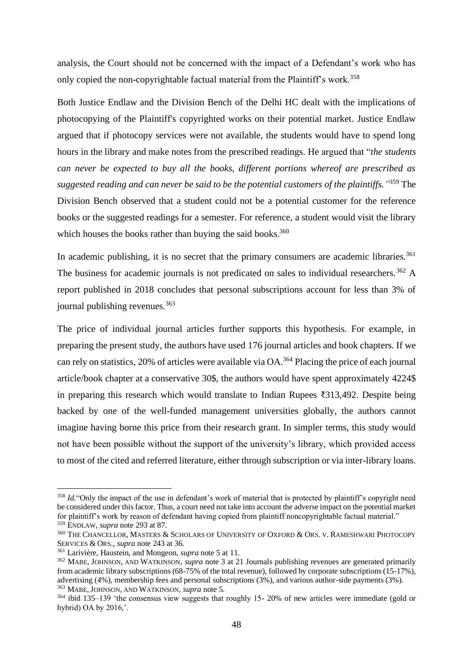analysis, the Court should not be concerned with the impact of a Defendant's work who has only copied the non-copyrightable factual material from the Plaintiff's work.<sup>358</sup>

Both Justice Endlaw and the Division Bench of the Delhi HC dealt with the implications of photocopying of the Plaintiff's copyrighted works on their potential market. Justice Endlaw argued that if photocopy services were not available, the students would have to spend long hours in the library and make notes from the prescribed readings. He argued that "*the students can never be expected to buy all the books, different portions whereof are prescribed as suggested reading and can never be said to be the potential customers of the plaintiffs."* <sup>359</sup> The Division Bench observed that a student could not be a potential customer for the reference books or the suggested readings for a semester. For reference, a student would visit the library which houses the books rather than buying the said books. $360$ 

In academic publishing, it is no secret that the primary consumers are academic libraries.<sup>361</sup> The business for academic journals is not predicated on sales to individual researchers.<sup>362</sup> A report published in 2018 concludes that personal subscriptions account for less than 3% of journal publishing revenues.<sup>363</sup>

The price of individual journal articles further supports this hypothesis. For example, in preparing the present study, the authors have used 176 journal articles and book chapters. If we can rely on statistics, 20% of articles were available via OA.<sup>364</sup> Placing the price of each journal article/book chapter at a conservative 30\$, the authors would have spent approximately 4224\$ in preparing this research which would translate to Indian Rupees ₹313,492. Despite being backed by one of the well-funded management universities globally, the authors cannot imagine having borne this price from their research grant. In simpler terms, this study would not have been possible without the support of the university's library, which provided access to most of the cited and referred literature, either through subscription or via inter-library loans.

<sup>&</sup>lt;sup>358</sup> *Id.* "Only the impact of the use in defendant's work of material that is protected by plaintiff's copyright need be considered under this factor. Thus, a court need not take into account the adverse impact on the potential market for plaintiff's work by reason of defendant having copied from plaintiff noncopyrightable factual material." <sup>359</sup> ENDLAW, *supra* note 293 at 87.

<sup>360</sup> THE CHANCELLOR, MASTERS & SCHOLARS OF UNIVERSITY OF OXFORD & ORS. V. RAMESHWARI PHOTOCOPY SERVICES & ORS., *supra* note 243 at 36.

<sup>361</sup> Larivière, Haustein, and Mongeon, *supra* note 5 at 11.

<sup>362</sup> MABE, JOHNSON, AND WATKINSON, *supra* note 3 at 21 Journals publishing revenues are generated primarily from academic library subscriptions (68-75% of the total revenue), followed by corporate subscriptions (15-17%), advertising (4%), membership fees and personal subscriptions (3%), and various author-side payments (3%). <sup>363</sup> MABE, JOHNSON, AND WATKINSON, *supra* note 5.

<sup>364</sup> ibid 135–139 'the consensus view suggests that roughly 15- 20% of new articles were immediate (gold or hybrid) OA by 2016,'.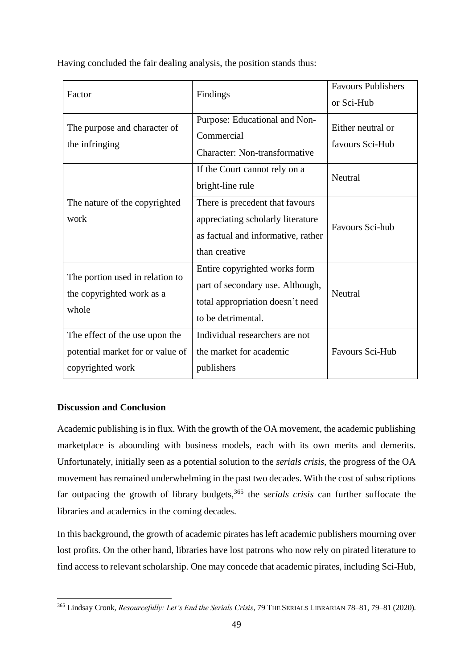|  |  |  | Having concluded the fair dealing analysis, the position stands thus: |
|--|--|--|-----------------------------------------------------------------------|
|  |  |  |                                                                       |
|  |  |  |                                                                       |
|  |  |  |                                                                       |

| Factor                                                                                 | Findings                                                                                                                    | <b>Favours Publishers</b><br>or Sci-Hub |
|----------------------------------------------------------------------------------------|-----------------------------------------------------------------------------------------------------------------------------|-----------------------------------------|
| The purpose and character of<br>the infringing                                         | Purpose: Educational and Non-<br>Commercial<br>Character: Non-transformative                                                | Either neutral or<br>favours Sci-Hub    |
|                                                                                        | If the Court cannot rely on a<br>bright-line rule                                                                           | Neutral                                 |
| The nature of the copyrighted<br>work                                                  | There is precedent that favours<br>appreciating scholarly literature<br>as factual and informative, rather<br>than creative | Favours Sci-hub                         |
| The portion used in relation to<br>the copyrighted work as a<br>whole                  | Entire copyrighted works form<br>part of secondary use. Although,<br>total appropriation doesn't need<br>to be detrimental. | Neutral                                 |
| The effect of the use upon the<br>potential market for or value of<br>copyrighted work | Individual researchers are not<br>the market for academic<br>publishers                                                     | <b>Favours Sci-Hub</b>                  |

#### <span id="page-50-0"></span>**Discussion and Conclusion**

Academic publishing is in flux. With the growth of the OA movement, the academic publishing marketplace is abounding with business models, each with its own merits and demerits. Unfortunately, initially seen as a potential solution to the *serials crisis,* the progress of the OA movement has remained underwhelming in the past two decades. With the cost of subscriptions far outpacing the growth of library budgets,<sup>365</sup> the *serials crisis* can further suffocate the libraries and academics in the coming decades.

In this background, the growth of academic pirates has left academic publishers mourning over lost profits. On the other hand, libraries have lost patrons who now rely on pirated literature to find access to relevant scholarship. One may concede that academic pirates, including Sci-Hub,

<sup>365</sup> Lindsay Cronk, *Resourcefully: Let's End the Serials Crisis*, 79 THE SERIALS LIBRARIAN 78–81, 79–81 (2020).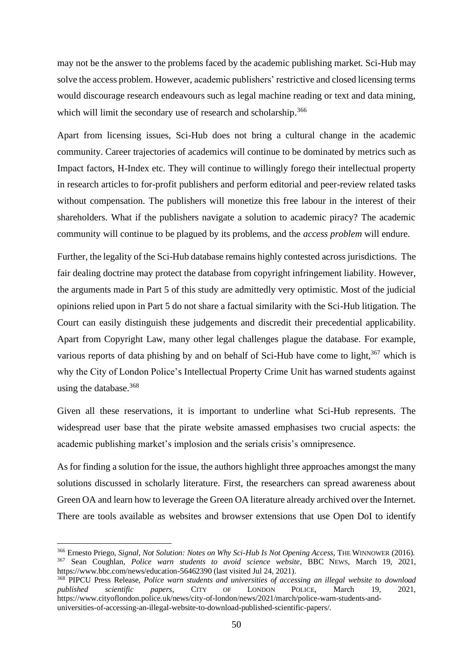may not be the answer to the problems faced by the academic publishing market. Sci-Hub may solve the access problem. However, academic publishers' restrictive and closed licensing terms would discourage research endeavours such as legal machine reading or text and data mining, which will limit the secondary use of research and scholarship.<sup>366</sup>

Apart from licensing issues, Sci-Hub does not bring a cultural change in the academic community. Career trajectories of academics will continue to be dominated by metrics such as Impact factors, H-Index etc. They will continue to willingly forego their intellectual property in research articles to for-profit publishers and perform editorial and peer-review related tasks without compensation. The publishers will monetize this free labour in the interest of their shareholders. What if the publishers navigate a solution to academic piracy? The academic community will continue to be plagued by its problems, and the *access problem* will endure.

Further, the legality of the Sci-Hub database remains highly contested across jurisdictions. The fair dealing doctrine may protect the database from copyright infringement liability. However, the arguments made in Part 5 of this study are admittedly very optimistic. Most of the judicial opinions relied upon in Part 5 do not share a factual similarity with the Sci-Hub litigation. The Court can easily distinguish these judgements and discredit their precedential applicability. Apart from Copyright Law, many other legal challenges plague the database. For example, various reports of data phishing by and on behalf of Sci-Hub have come to light, $367$  which is why the City of London Police's Intellectual Property Crime Unit has warned students against using the database.<sup>368</sup>

Given all these reservations, it is important to underline what Sci-Hub represents. The widespread user base that the pirate website amassed emphasises two crucial aspects: the academic publishing market's implosion and the serials crisis's omnipresence*.*

As for finding a solution for the issue, the authors highlight three approaches amongst the many solutions discussed in scholarly literature. First, the researchers can spread awareness about Green OA and learn how to leverage the Green OA literature already archived over the Internet. There are tools available as websites and browser extensions that use Open DoI to identify

<sup>366</sup> Ernesto Priego, *Signal, Not Solution: Notes on Why Sci-Hub Is Not Opening Access*, THE WINNOWER (2016). <sup>367</sup> Sean Coughlan, *Police warn students to avoid science website*, BBC NEWS, March 19, 2021, https://www.bbc.com/news/education-56462390 (last visited Jul 24, 2021).

<sup>&</sup>lt;sup>368</sup> PIPCU Press Release, *Police warn students and universities of accessing an illegal website to <i>download* published scientific papers, CITY OF LONDON POLICE, March 19, 2021, *published scientific papers*, CITY OF LONDON POLICE, March 19, 2021, https://www.cityoflondon.police.uk/news/city-of-london/news/2021/march/police-warn-students-anduniversities-of-accessing-an-illegal-website-to-download-published-scientific-papers/.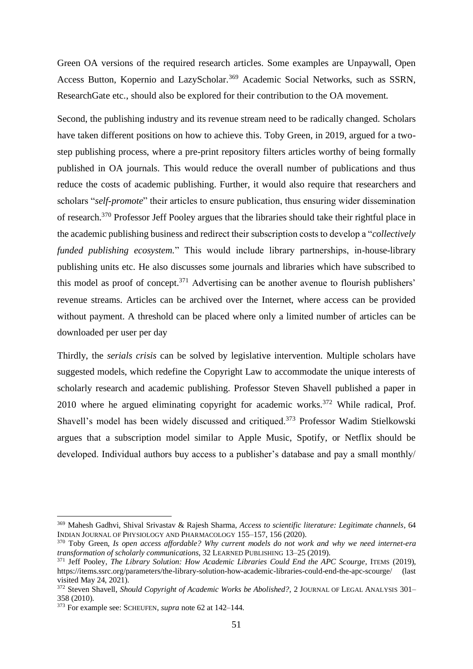Green OA versions of the required research articles. Some examples are Unpaywall, Open Access Button, Kopernio and LazyScholar.<sup>369</sup> Academic Social Networks, such as SSRN, ResearchGate etc., should also be explored for their contribution to the OA movement.

Second, the publishing industry and its revenue stream need to be radically changed. Scholars have taken different positions on how to achieve this. Toby Green, in 2019, argued for a twostep publishing process, where a pre-print repository filters articles worthy of being formally published in OA journals. This would reduce the overall number of publications and thus reduce the costs of academic publishing. Further, it would also require that researchers and scholars "*self-promote*" their articles to ensure publication, thus ensuring wider dissemination of research.<sup>370</sup> Professor Jeff Pooley argues that the libraries should take their rightful place in the academic publishing business and redirect their subscription costs to develop a "*collectively funded publishing ecosystem.*" This would include library partnerships, in-house-library publishing units etc. He also discusses some journals and libraries which have subscribed to this model as proof of concept.<sup>371</sup> Advertising can be another avenue to flourish publishers' revenue streams. Articles can be archived over the Internet, where access can be provided without payment. A threshold can be placed where only a limited number of articles can be downloaded per user per day

Thirdly, the *serials crisis* can be solved by legislative intervention. Multiple scholars have suggested models, which redefine the Copyright Law to accommodate the unique interests of scholarly research and academic publishing. Professor Steven Shavell published a paper in 2010 where he argued eliminating copyright for academic works.<sup>372</sup> While radical, Prof. Shavell's model has been widely discussed and critiqued.<sup>373</sup> Professor Wadim Stielkowski argues that a subscription model similar to Apple Music, Spotify, or Netflix should be developed. Individual authors buy access to a publisher's database and pay a small monthly/

<sup>369</sup> Mahesh Gadhvi, Shival Srivastav & Rajesh Sharma, *Access to scientific literature: Legitimate channels*, 64 INDIAN JOURNAL OF PHYSIOLOGY AND PHARMACOLOGY 155–157, 156 (2020).

<sup>370</sup> Toby Green, *Is open access affordable? Why current models do not work and why we need internet-era transformation of scholarly communications*, 32 LEARNED PUBLISHING 13–25 (2019).

<sup>371</sup> Jeff Pooley, *The Library Solution: How Academic Libraries Could End the APC Scourge*, ITEMS (2019), https://items.ssrc.org/parameters/the-library-solution-how-academic-libraries-could-end-the-apc-scourge/ (last visited May 24, 2021).

<sup>&</sup>lt;sup>372</sup> Steven Shavell, *Should Copyright of Academic Works be Abolished?*, 2 JOURNAL OF LEGAL ANALYSIS 301-358 (2010).

<sup>373</sup> For example see: SCHEUFEN, *supra* note 62 at 142–144.